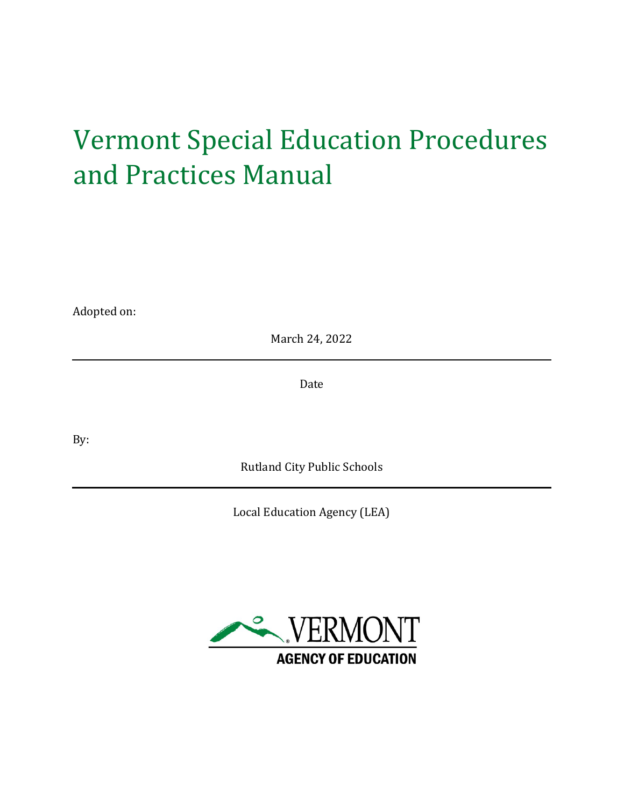# Vermont Special Education Procedures and Practices Manual

Adopted on:

March 24, 2022

Date

By:

Rutland City Public Schools

Local Education Agency (LEA)

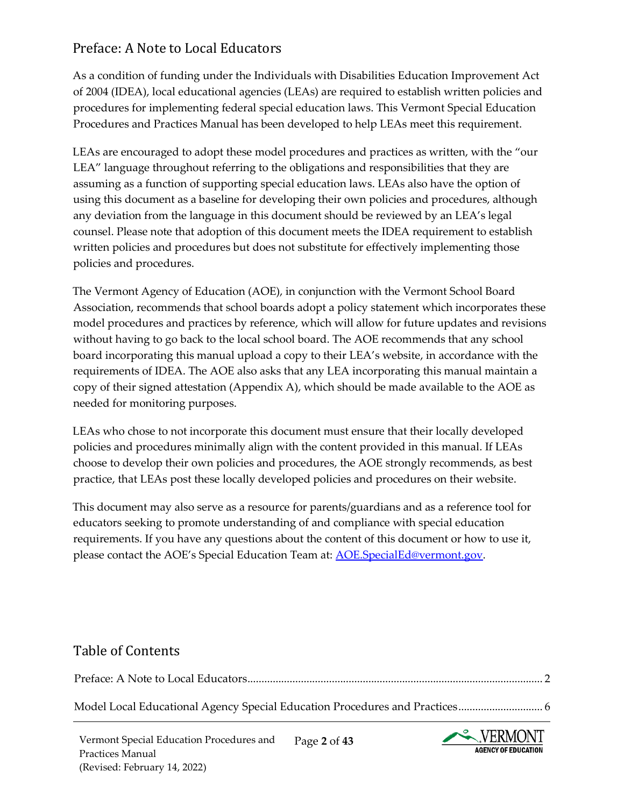# <span id="page-1-0"></span>Preface: A Note to Local Educators

As a condition of funding under the Individuals with Disabilities Education Improvement Act of 2004 (IDEA), local educational agencies (LEAs) are required to establish written policies and procedures for implementing federal special education laws. This Vermont Special Education Procedures and Practices Manual has been developed to help LEAs meet this requirement.

LEAs are encouraged to adopt these model procedures and practices as written, with the "our LEA" language throughout referring to the obligations and responsibilities that they are assuming as a function of supporting special education laws. LEAs also have the option of using this document as a baseline for developing their own policies and procedures, although any deviation from the language in this document should be reviewed by an LEA's legal counsel. Please note that adoption of this document meets the IDEA requirement to establish written policies and procedures but does not substitute for effectively implementing those policies and procedures.

The Vermont Agency of Education (AOE), in conjunction with the Vermont School Board Association, recommends that school boards adopt a policy statement which incorporates these model procedures and practices by reference, which will allow for future updates and revisions without having to go back to the local school board. The AOE recommends that any school board incorporating this manual upload a copy to their LEA's website, in accordance with the requirements of IDEA. The AOE also asks that any LEA incorporating this manual maintain a copy of their signed attestation (Appendix A), which should be made available to the AOE as needed for monitoring purposes.

LEAs who chose to not incorporate this document must ensure that their locally developed policies and procedures minimally align with the content provided in this manual. If LEAs choose to develop their own policies and procedures, the AOE strongly recommends, as best practice, that LEAs post these locally developed policies and procedures on their website.

This document may also serve as a resource for parents/guardians and as a reference tool for educators seeking to promote understanding of and compliance with special education requirements. If you have any questions about the content of this document or how to use it, please contact the AOE's Special Education Team at: AOE.SpecialEd@vermont.gov.

# Table of Contents

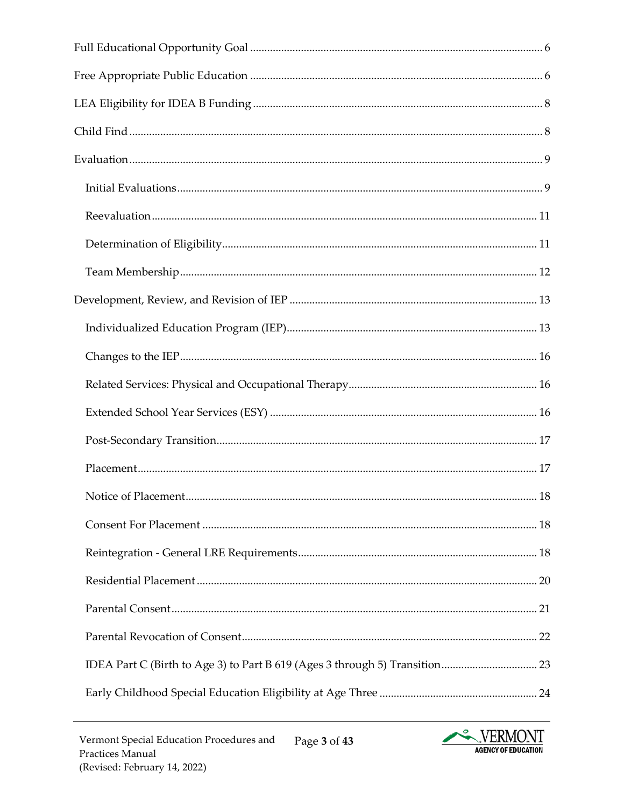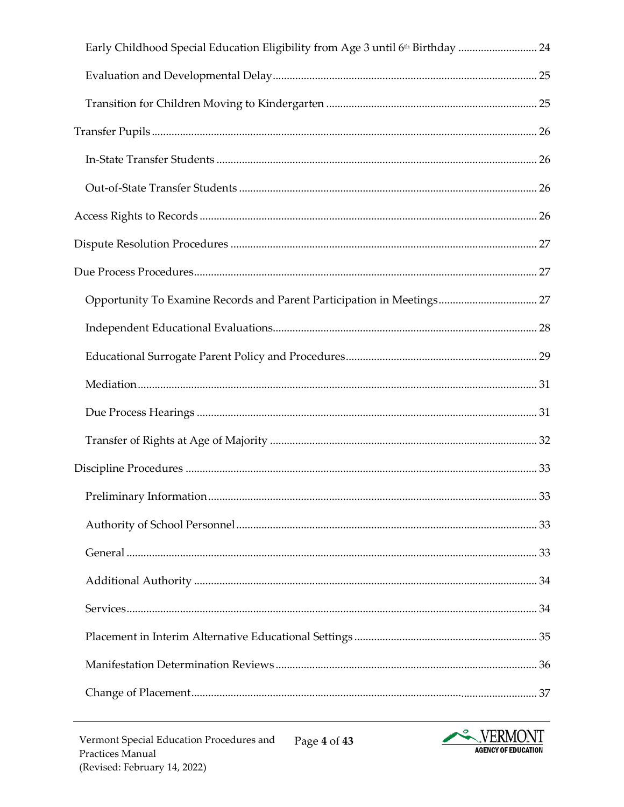| Early Childhood Special Education Eligibility from Age 3 until 6th Birthday  24 |  |
|---------------------------------------------------------------------------------|--|
|                                                                                 |  |
|                                                                                 |  |
|                                                                                 |  |
|                                                                                 |  |
|                                                                                 |  |
|                                                                                 |  |
|                                                                                 |  |
|                                                                                 |  |
| Opportunity To Examine Records and Parent Participation in Meetings 27          |  |
|                                                                                 |  |
|                                                                                 |  |
|                                                                                 |  |
|                                                                                 |  |
|                                                                                 |  |
|                                                                                 |  |
|                                                                                 |  |
|                                                                                 |  |
|                                                                                 |  |
|                                                                                 |  |
|                                                                                 |  |
|                                                                                 |  |
|                                                                                 |  |
|                                                                                 |  |

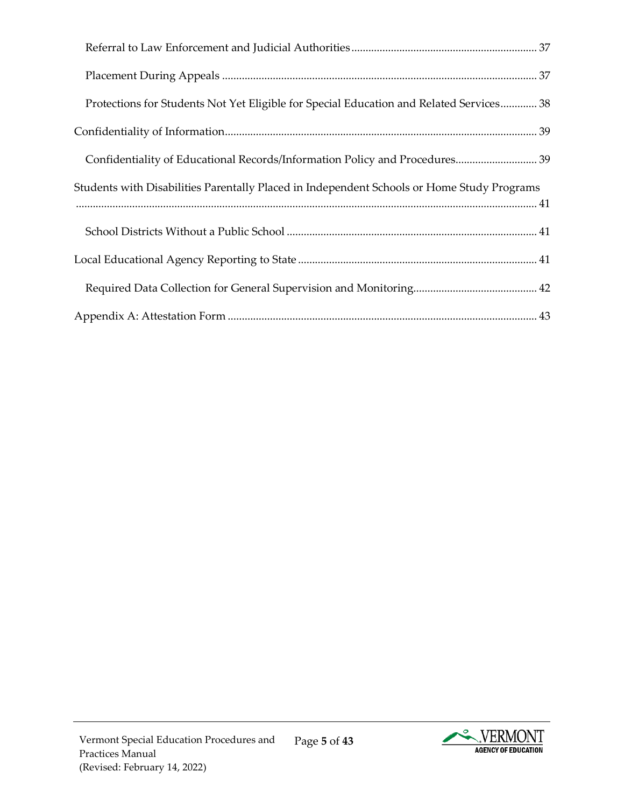| Protections for Students Not Yet Eligible for Special Education and Related Services 38    |  |
|--------------------------------------------------------------------------------------------|--|
|                                                                                            |  |
| Confidentiality of Educational Records/Information Policy and Procedures 39                |  |
| Students with Disabilities Parentally Placed in Independent Schools or Home Study Programs |  |
|                                                                                            |  |
|                                                                                            |  |
|                                                                                            |  |
|                                                                                            |  |
|                                                                                            |  |

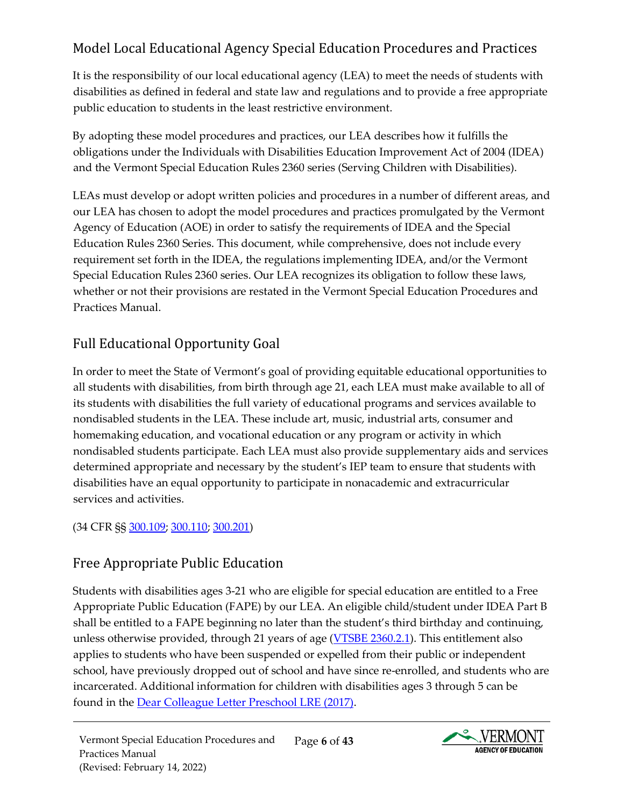# <span id="page-5-0"></span>Model Local Educational Agency Special Education Procedures and Practices

It is the responsibility of our local educational agency (LEA) to meet the needs of students with disabilities as defined in federal and state law and regulations and to provide a free appropriate public education to students in the least restrictive environment.

By adopting these model procedures and practices, our LEA describes how it fulfills the obligations under the Individuals with Disabilities Education Improvement Act of 2004 (IDEA) and the Vermont Special Education Rules 2360 series (Serving Children with Disabilities).

LEAs must develop or adopt written policies and procedures in a number of different areas, and our LEA has chosen to adopt the model procedures and practices promulgated by the Vermont Agency of Education (AOE) in order to satisfy the requirements of IDEA and the Special Education Rules 2360 Series. This document, while comprehensive, does not include every requirement set forth in the IDEA, the regulations implementing IDEA, and/or the Vermont Special Education Rules 2360 series. Our LEA recognizes its obligation to follow these laws, whether or not their provisions are restated in the Vermont Special Education Procedures and Practices Manual.

# <span id="page-5-1"></span>Full Educational Opportunity Goal

In order to meet the State of Vermont's goal of providing equitable educational opportunities to all students with disabilities, from birth through age 21, each LEA must make available to all of its students with disabilities the full variety of educational programs and services available to nondisabled students in the LEA. These include art, music, industrial arts, consumer and homemaking education, and vocational education or any program or activity in which nondisabled students participate. Each LEA must also provide supplementary aids and services determined appropriate and necessary by the student's IEP team to ensure that students with disabilities have an equal opportunity to participate in nonacademic and extracurricular services and activities.

(34 CFR §§ [300.109;](https://sites.ed.gov/idea/regs/b/b/300.109) [300.110;](https://sites.ed.gov/idea/regs/b/b/300.110) [300.201\)](https://sites.ed.gov/idea/regs/b/c/300.201)

# <span id="page-5-2"></span>Free Appropriate Public Education

Students with disabilities ages 3-21 who are eligible for special education are entitled to a Free Appropriate Public Education (FAPE) by our LEA. An eligible child/student under IDEA Part B shall be entitled to a FAPE beginning no later than the student's third birthday and continuing, unless otherwise provided, through 21 years of age [\(VTSBE 2360.2.1\).](https://education.vermont.gov/sites/aoe/files/documents/edu-series-2360-special-education-rules.pdf#page=11) This entitlement also applies to students who have been suspended or expelled from their public or independent school, have previously dropped out of school and have since re-enrolled, and students who are incarcerated. Additional information for children with disabilities ages 3 through 5 can be found in the [Dear Colleague Letter Preschool LRE \(2017\).](https://sites.ed.gov/idea/files/policy_speced_guid_idea_memosdcltrs_preschool-lre-dcl-1-10-17.pdf) 

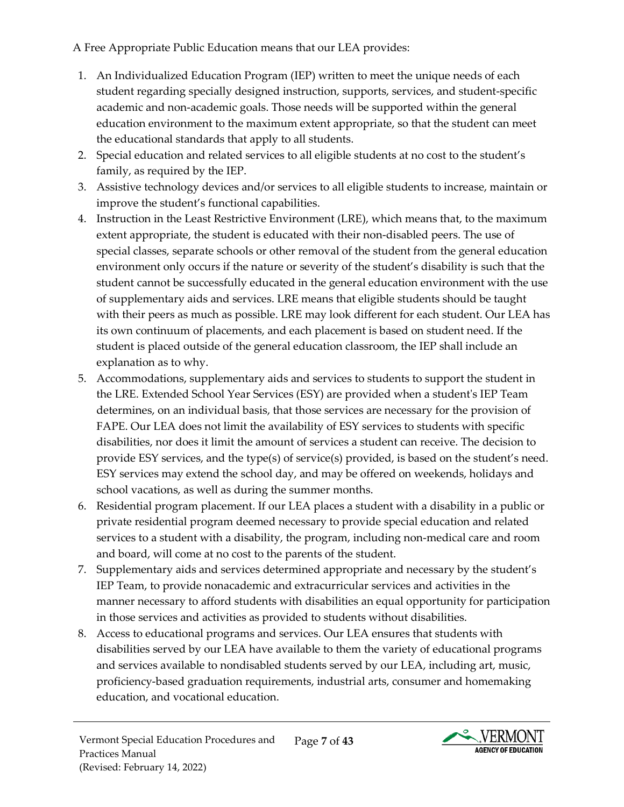A Free Appropriate Public Education means that our LEA provides:

- 1. An Individualized Education Program (IEP) written to meet the unique needs of each student regarding specially designed instruction, supports, services, and student-specific academic and non-academic goals. Those needs will be supported within the general education environment to the maximum extent appropriate, so that the student can meet the educational standards that apply to all students.
- 2. Special education and related services to all eligible students at no cost to the student's family, as required by the IEP.
- 3. Assistive technology devices and/or services to all eligible students to increase, maintain or improve the student's functional capabilities.
- 4. Instruction in the Least Restrictive Environment (LRE), which means that, to the maximum extent appropriate, the student is educated with their non-disabled peers. The use of special classes, separate schools or other removal of the student from the general education environment only occurs if the nature or severity of the student's disability is such that the student cannot be successfully educated in the general education environment with the use of supplementary aids and services. LRE means that eligible students should be taught with their peers as much as possible. LRE may look different for each student. Our LEA has its own continuum of placements, and each placement is based on student need. If the student is placed outside of the general education classroom, the IEP shall include an explanation as to why.
- 5. Accommodations, supplementary aids and services to students to support the student in the LRE. Extended School Year Services (ESY) are provided when a student's IEP Team determines, on an individual basis, that those services are necessary for the provision of FAPE. Our LEA does not limit the availability of ESY services to students with specific disabilities, nor does it limit the amount of services a student can receive. The decision to provide ESY services, and the type(s) of service(s) provided, is based on the student's need. ESY services may extend the school day, and may be offered on weekends, holidays and school vacations, as well as during the summer months.
- 6. Residential program placement. If our LEA places a student with a disability in a public or private residential program deemed necessary to provide special education and related services to a student with a disability, the program, including non-medical care and room and board, will come at no cost to the parents of the student.
- 7. Supplementary aids and services determined appropriate and necessary by the student's IEP Team, to provide nonacademic and extracurricular services and activities in the manner necessary to afford students with disabilities an equal opportunity for participation in those services and activities as provided to students without disabilities.
- 8. Access to educational programs and services. Our LEA ensures that students with disabilities served by our LEA have available to them the variety of educational programs and services available to nondisabled students served by our LEA, including art, music, proficiency-based graduation requirements, industrial arts, consumer and homemaking education, and vocational education.

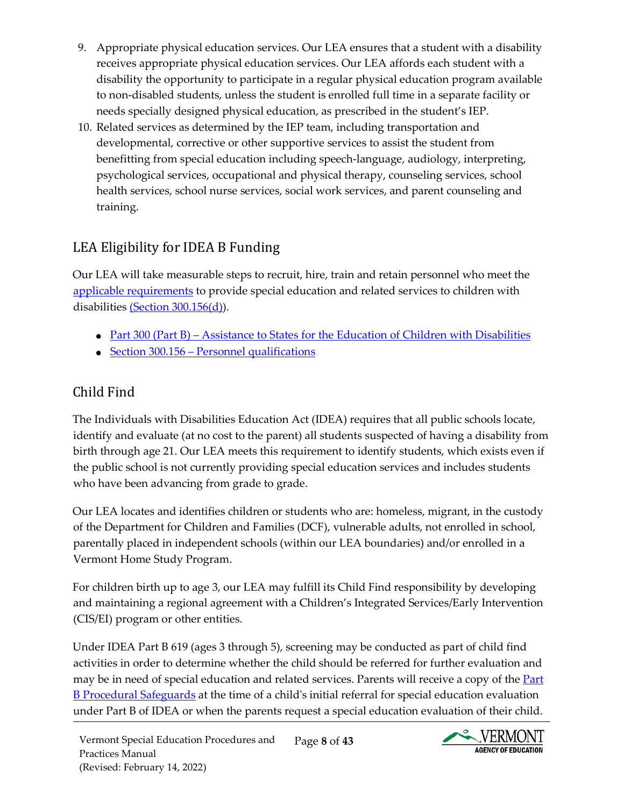- 9. Appropriate physical education services. Our LEA ensures that a student with a disability receives appropriate physical education services. Our LEA affords each student with a disability the opportunity to participate in a regular physical education program available to non-disabled students, unless the student is enrolled full time in a separate facility or needs specially designed physical education, as prescribed in the student's IEP.
- 10. Related services as determined by the IEP team, including transportation and developmental, corrective or other supportive services to assist the student from benefitting from special education including speech-language, audiology, interpreting, psychological services, occupational and physical therapy, counseling services, school health services, school nurse services, social work services, and parent counseling and training.

# <span id="page-7-0"></span>LEA Eligibility for IDEA B Funding

Our LEA will take measurable steps to recruit, hire, train and retain personnel who meet the [applicable requirements](https://sites.ed.gov/idea/regs/b/b/300.156/c) to provide special education and related services to children with disabilities [\(Section 300.156\(d\)\).](https://sites.ed.gov/idea/regs/b/b/300.156/d)

- [Part 300 \(Part B\) Assistance to States for the Education of Children with Disabilities](https://sites.ed.gov/idea/regs/b)
- $\bullet$  [Section 300.156 Personnel qualifications](https://sites.ed.gov/idea/regs/b/b/300.156)

# <span id="page-7-1"></span>Child Find

The Individuals with Disabilities Education Act (IDEA) requires that all public schools locate, identify and evaluate (at no cost to the parent) all students suspected of having a disability from birth through age 21. Our LEA meets this requirement to identify students, which exists even if the public school is not currently providing special education services and includes students who have been advancing from grade to grade.

Our LEA locates and identifies children or students who are: homeless, migrant, in the custody of the Department for Children and Families (DCF), vulnerable adults, not enrolled in school, parentally placed in independent schools (within our LEA boundaries) and/or enrolled in a Vermont Home Study Program.

For children birth up to age 3, our LEA may fulfill its Child Find responsibility by developing and maintaining a regional agreement with a Children's Integrated Services/Early Intervention (CIS/EI) program or other entities.

Under IDEA Part B 619 (ages 3 through 5), screening may be conducted as part of child find activities in order to determine whether the child should be referred for further evaluation and may be in need of special education and related services. Parents will receive a copy of the [Part](https://education.vermont.gov/documents/notice-of-procedural-safeguards-rights-of-parents-of-students-with-disabilities) [B Procedural Safeguards](https://education.vermont.gov/documents/notice-of-procedural-safeguards-rights-of-parents-of-students-with-disabilities) at the time of a child's initial referral for special education evaluation under Part B of IDEA or when the parents request a special education evaluation of their child.

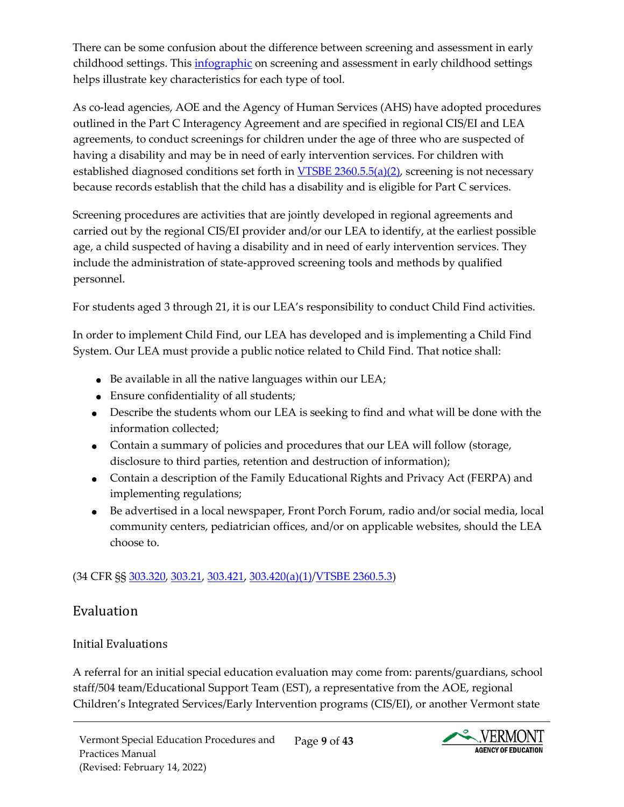There can be some confusion about the difference between screening and assessment in early childhood settings. This *infographic* on screening and assessment in early childhood settings helps illustrate key characteristics for each type of tool.

As co-lead agencies, AOE and the Agency of Human Services (AHS) have adopted procedures outlined in the Part C Interagency Agreement and are specified in regional CIS/EI and LEA agreements, to conduct screenings for children under the age of three who are suspected of having a disability and may be in need of early intervention services. For children with established diagnosed conditions set forth in **VTSBE 2360.5.5(a)(2)**, screening is not necessary because records establish that the child has a disability and is eligible for Part C services.

Screening procedures are activities that are jointly developed in regional agreements and carried out by the regional CIS/EI provider and/or our LEA to identify, at the earliest possible age, a child suspected of having a disability and in need of early intervention services. They include the administration of state-approved screening tools and methods by qualified personnel.

For students aged 3 through 21, it is our LEA's responsibility to conduct Child Find activities.

In order to implement Child Find, our LEA has developed and is implementing a Child Find System. Our LEA must provide a public notice related to Child Find. That notice shall:

- $\bullet$  Be available in all the native languages within our LEA;
- Ensure confidentiality of all students;
- Describe the students whom our LEA is seeking to find and what will be done with the information collected;
- Contain a summary of policies and procedures that our LEA will follow (storage, disclosure to third parties, retention and destruction of information);
- Contain a description of the Family Educational Rights and Privacy Act (FERPA) and implementing regulations;
- Be advertised in a local newspaper, Front Porch Forum, radio and/or social media, local community centers, pediatrician offices, and/or on applicable websites, should the LEA choose to.

(34 CFR §§ [303.320,](https://sites.ed.gov/idea/regs/c/d/303.320) [303.21,](https://sites.ed.gov/idea/regs/c/a/303.21) [303.421,](https://sites.ed.gov/idea/regs/c/e/303.421) [303.420\(a\)\(1\)](https://sites.ed.gov/idea/regs/c/e/303.420/a/1)[/VTSBE 2360.5.3\)](https://education.vermont.gov/sites/aoe/files/documents/edu-series-2360-special-education-rules.pdf#page=37)

# <span id="page-8-0"></span>Evaluation

# <span id="page-8-1"></span>Initial Evaluations

A referral for an initial special education evaluation may come from: parents/guardians, school staff/504 team/Educational Support Team (EST), a representative from the AOE, regional Children's Integrated Services/Early Intervention programs (CIS/EI), or another Vermont state

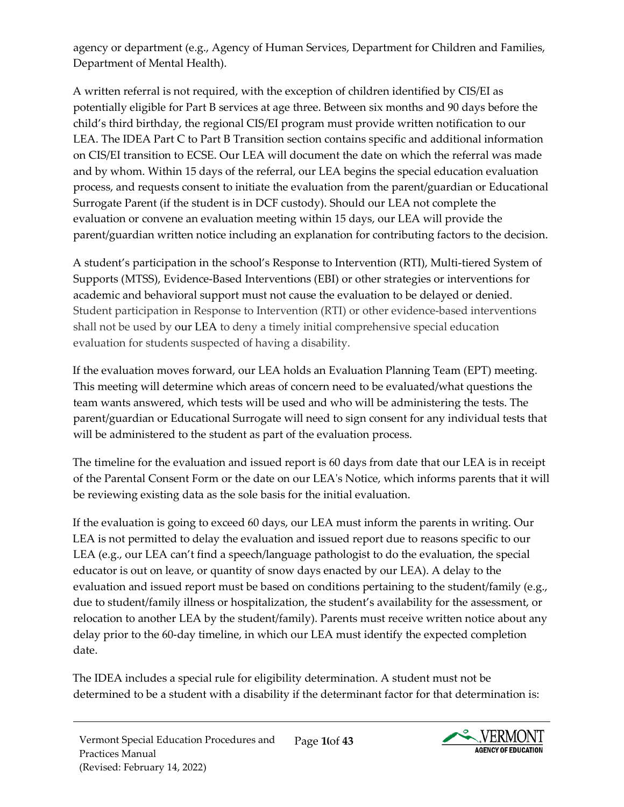agency or department (e.g., Agency of Human Services, Department for Children and Families, Department of Mental Health).

A written referral is not required, with the exception of children identified by CIS/EI as potentially eligible for Part B services at age three. Between six months and 90 days before the child's third birthday, the regional CIS/EI program must provide written notification to our LEA. The IDEA Part C to Part B Transition section contains specific and additional information on CIS/EI transition to ECSE. Our LEA will document the date on which the referral was made and by whom. Within 15 days of the referral, our LEA begins the special education evaluation process, and requests consent to initiate the evaluation from the parent/guardian or Educational Surrogate Parent (if the student is in DCF custody). Should our LEA not complete the evaluation or convene an evaluation meeting within 15 days, our LEA will provide the parent/guardian written notice including an explanation for contributing factors to the decision.

A student's participation in the school's Response to Intervention (RTI), Multi-tiered System of Supports (MTSS), Evidence-Based Interventions (EBI) or other strategies or interventions for academic and behavioral support must not cause the evaluation to be delayed or denied. Student participation in Response to Intervention (RTI) or other evidence-based interventions shall not be used by our LEA to deny a timely initial comprehensive special education evaluation for students suspected of having a disability.

If the evaluation moves forward, our LEA holds an Evaluation Planning Team (EPT) meeting. This meeting will determine which areas of concern need to be evaluated/what questions the team wants answered, which tests will be used and who will be administering the tests. The parent/guardian or Educational Surrogate will need to sign consent for any individual tests that will be administered to the student as part of the evaluation process.

The timeline for the evaluation and issued report is 60 days from date that our LEA is in receipt of the Parental Consent Form or the date on our LEA's Notice, which informs parents that it will be reviewing existing data as the sole basis for the initial evaluation.

If the evaluation is going to exceed 60 days, our LEA must inform the parents in writing. Our LEA is not permitted to delay the evaluation and issued report due to reasons specific to our LEA (e.g., our LEA can't find a speech/language pathologist to do the evaluation, the special educator is out on leave, or quantity of snow days enacted by our LEA). A delay to the evaluation and issued report must be based on conditions pertaining to the student/family (e.g., due to student/family illness or hospitalization, the student's availability for the assessment, or relocation to another LEA by the student/family). Parents must receive written notice about any delay prior to the 60-day timeline, in which our LEA must identify the expected completion date.

The IDEA includes a special rule for eligibility determination. A student must not be determined to be a student with a disability if the determinant factor for that determination is:

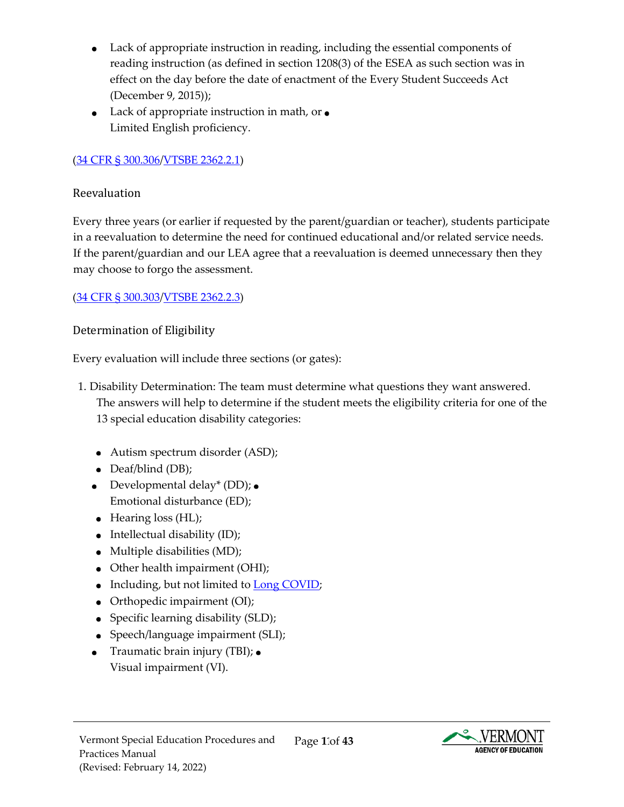- Lack of appropriate instruction in reading, including the essential components of reading instruction (as defined in section 1208(3) of the ESEA as such section was in effect on the day before the date of enactment of the Every Student Succeeds Act (December 9, 2015));
- Lack of appropriate instruction in math, or  $\bullet$ Limited English proficiency.

#### [\(34 CFR § 300.306](https://sites.ed.gov/idea/regs/b/d/300.306)[/VTSBE 2362.2.1\)](https://education.vermont.gov/sites/aoe/files/documents/edu-series-2360-special-education-rules.pdf#page=76)

#### <span id="page-10-0"></span>Reevaluation

Every three years (or earlier if requested by the parent/guardian or teacher), students participate in a reevaluation to determine the need for continued educational and/or related service needs. If the parent/guardian and our LEA agree that a reevaluation is deemed unnecessary then they may choose to forgo the assessment.

[\(34 CFR § 300.303](https://sites.ed.gov/idea/regs/b/d/300.303)[/VTSBE 2362.2.3\)](https://education.vermont.gov/sites/aoe/files/documents/edu-series-2360-special-education-rules.pdf#page=79) 

<span id="page-10-1"></span>Determination of Eligibility

Every evaluation will include three sections (or gates):

- 1. Disability Determination: The team must determine what questions they want answered. The answers will help to determine if the student meets the eligibility criteria for one of the 13 special education disability categories:
	- Autism spectrum disorder (ASD);
	- Deaf/blind (DB);
	- Developmental delay\* (DD); Emotional disturbance (ED);
	- Hearing loss (HL);
	- Intellectual disability (ID);
	- Multiple disabilities (MD);
	- Other health impairment (OHI);
	- Including, but not limited to **Long COVID**;
	- Orthopedic impairment (OI);
	- Specific learning disability (SLD);
	- Speech/language impairment (SLI);
	- Traumatic brain injury (TBI);  $\bullet$ Visual impairment (VI).

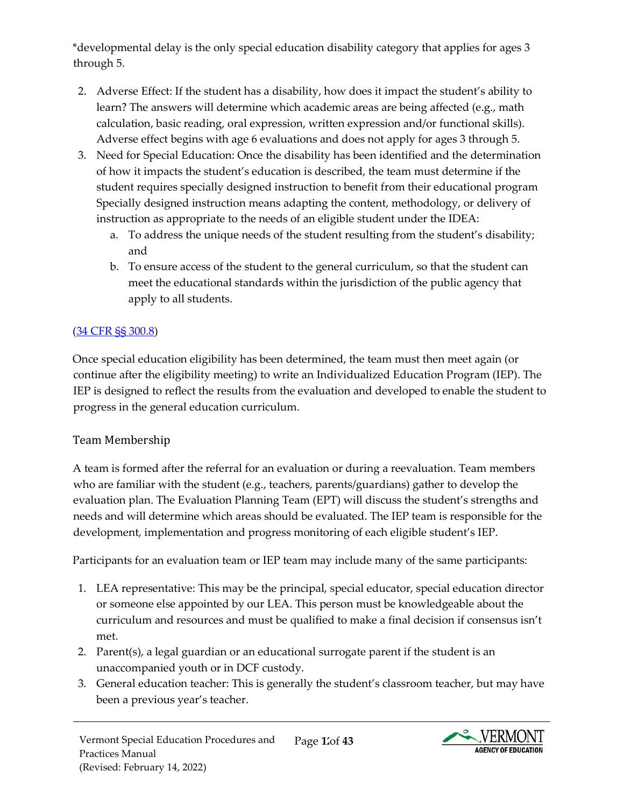\*developmental delay is the only special education disability category that applies for ages 3 through 5.

- 2. Adverse Effect: If the student has a disability, how does it impact the student's ability to learn? The answers will determine which academic areas are being affected (e.g., math calculation, basic reading, oral expression, written expression and/or functional skills). Adverse effect begins with age 6 evaluations and does not apply for ages 3 through 5.
- 3. Need for Special Education: Once the disability has been identified and the determination of how it impacts the student's education is described, the team must determine if the student requires specially designed instruction to benefit from their educational program Specially designed instruction means adapting the content, methodology, or delivery of instruction as appropriate to the needs of an eligible student under the IDEA:
	- a. To address the unique needs of the student resulting from the student's disability; and
	- b. To ensure access of the student to the general curriculum, so that the student can meet the educational standards within the jurisdiction of the public agency that apply to all students.

## [\(34 CFR §§ 300.8\)](https://sites.ed.gov/idea/regs/b/a/300.8)

Once special education eligibility has been determined, the team must then meet again (or continue after the eligibility meeting) to write an Individualized Education Program (IEP). The IEP is designed to reflect the results from the evaluation and developed to enable the student to progress in the general education curriculum.

## <span id="page-11-0"></span>Team Membership

A team is formed after the referral for an evaluation or during a reevaluation. Team members who are familiar with the student (e.g., teachers, parents/guardians) gather to develop the evaluation plan. The Evaluation Planning Team (EPT) will discuss the student's strengths and needs and will determine which areas should be evaluated. The IEP team is responsible for the development, implementation and progress monitoring of each eligible student's IEP.

Participants for an evaluation team or IEP team may include many of the same participants:

- 1. LEA representative: This may be the principal, special educator, special education director or someone else appointed by our LEA. This person must be knowledgeable about the curriculum and resources and must be qualified to make a final decision if consensus isn't met.
- 2. Parent(s), a legal guardian or an educational surrogate parent if the student is an unaccompanied youth or in DCF custody.
- 3. General education teacher: This is generally the student's classroom teacher, but may have been a previous year's teacher.

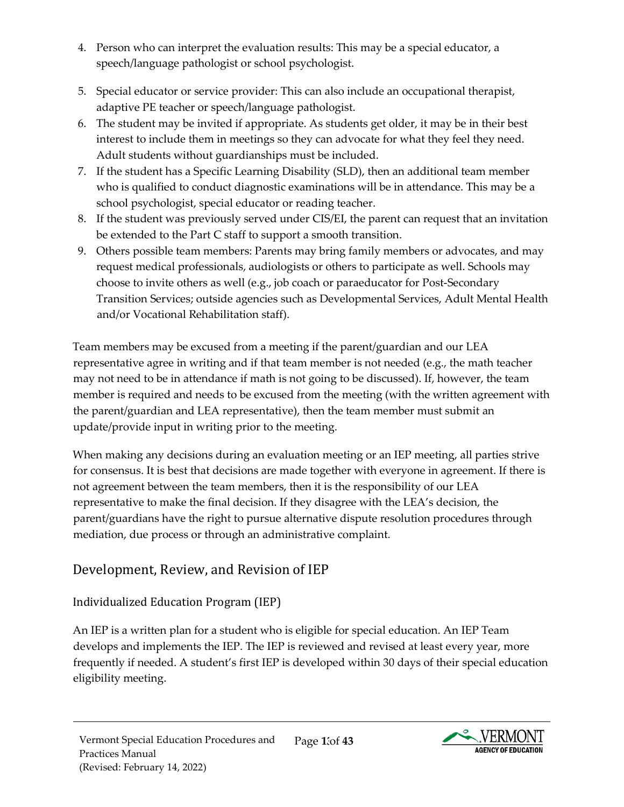- 4. Person who can interpret the evaluation results: This may be a special educator, a speech/language pathologist or school psychologist.
- 5. Special educator or service provider: This can also include an occupational therapist, adaptive PE teacher or speech/language pathologist.
- 6. The student may be invited if appropriate. As students get older, it may be in their best interest to include them in meetings so they can advocate for what they feel they need. Adult students without guardianships must be included.
- 7. If the student has a Specific Learning Disability (SLD), then an additional team member who is qualified to conduct diagnostic examinations will be in attendance. This may be a school psychologist, special educator or reading teacher.
- 8. If the student was previously served under CIS/EI, the parent can request that an invitation be extended to the Part C staff to support a smooth transition.
- 9. Others possible team members: Parents may bring family members or advocates, and may request medical professionals, audiologists or others to participate as well. Schools may choose to invite others as well (e.g., job coach or paraeducator for Post-Secondary Transition Services; outside agencies such as Developmental Services, Adult Mental Health and/or Vocational Rehabilitation staff).

Team members may be excused from a meeting if the parent/guardian and our LEA representative agree in writing and if that team member is not needed (e.g., the math teacher may not need to be in attendance if math is not going to be discussed). If, however, the team member is required and needs to be excused from the meeting (with the written agreement with the parent/guardian and LEA representative), then the team member must submit an update/provide input in writing prior to the meeting.

When making any decisions during an evaluation meeting or an IEP meeting, all parties strive for consensus. It is best that decisions are made together with everyone in agreement. If there is not agreement between the team members, then it is the responsibility of our LEA representative to make the final decision. If they disagree with the LEA's decision, the parent/guardians have the right to pursue alternative dispute resolution procedures through mediation, due process or through an administrative complaint.

# <span id="page-12-0"></span>Development, Review, and Revision of IEP

## <span id="page-12-1"></span>Individualized Education Program (IEP)

An IEP is a written plan for a student who is eligible for special education. An IEP Team develops and implements the IEP. The IEP is reviewed and revised at least every year, more frequently if needed. A student's first IEP is developed within 30 days of their special education eligibility meeting.

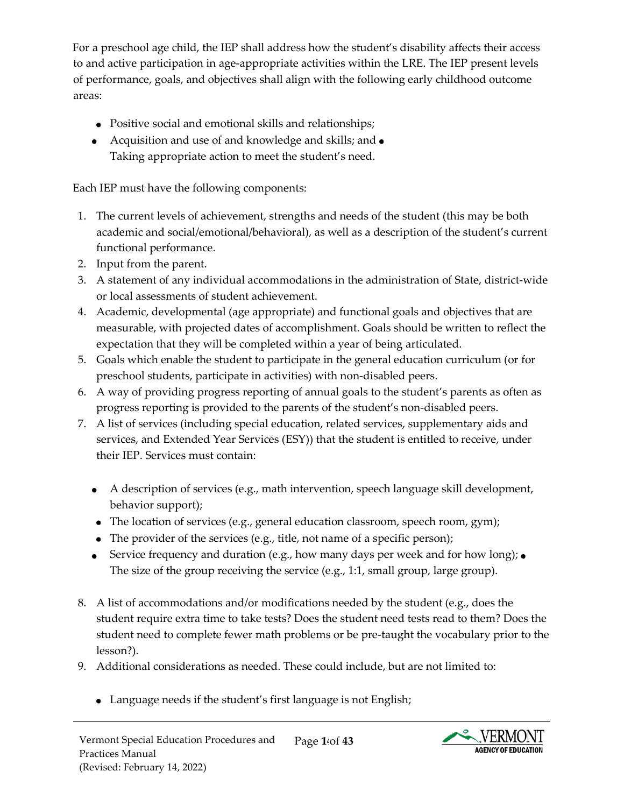For a preschool age child, the IEP shall address how the student's disability affects their access to and active participation in age-appropriate activities within the LRE. The IEP present levels of performance, goals, and objectives shall align with the following early childhood outcome areas:

- Positive social and emotional skills and relationships;
- Acquisition and use of and knowledge and skills; and Taking appropriate action to meet the student's need.

Each IEP must have the following components:

- 1. The current levels of achievement, strengths and needs of the student (this may be both academic and social/emotional/behavioral), as well as a description of the student's current functional performance.
- 2. Input from the parent.
- 3. A statement of any individual accommodations in the administration of State, district-wide or local assessments of student achievement.
- 4. Academic, developmental (age appropriate) and functional goals and objectives that are measurable, with projected dates of accomplishment. Goals should be written to reflect the expectation that they will be completed within a year of being articulated.
- 5. Goals which enable the student to participate in the general education curriculum (or for preschool students, participate in activities) with non-disabled peers.
- 6. A way of providing progress reporting of annual goals to the student's parents as often as progress reporting is provided to the parents of the student's non-disabled peers.
- 7. A list of services (including special education, related services, supplementary aids and services, and Extended Year Services (ESY)) that the student is entitled to receive, under their IEP. Services must contain:
	- A description of services (e.g., math intervention, speech language skill development, behavior support);
	- The location of services (e.g., general education classroom, speech room, gym);
	- The provider of the services (e.g., title, not name of a specific person);
	- Service frequency and duration (e.g., how many days per week and for how long);  $\bullet$ The size of the group receiving the service (e.g., 1:1, small group, large group).
- 8. A list of accommodations and/or modifications needed by the student (e.g., does the student require extra time to take tests? Does the student need tests read to them? Does the student need to complete fewer math problems or be pre-taught the vocabulary prior to the lesson?).
- 9. Additional considerations as needed. These could include, but are not limited to:
	- Language needs if the student's first language is not English;

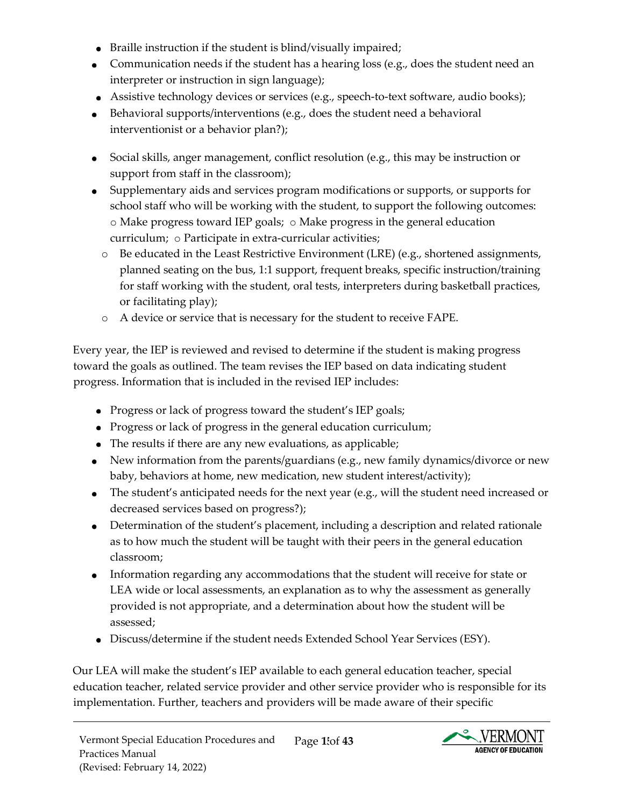- Braille instruction if the student is blind/visually impaired;
- Communication needs if the student has a hearing loss (e.g., does the student need an interpreter or instruction in sign language);
- Assistive technology devices or services (e.g., speech-to-text software, audio books);
- Behavioral supports/interventions (e.g., does the student need a behavioral interventionist or a behavior plan?);
- Social skills, anger management, conflict resolution (e.g., this may be instruction or support from staff in the classroom);
- Supplementary aids and services program modifications or supports, or supports for school staff who will be working with the student, to support the following outcomes: o Make progress toward IEP goals; o Make progress in the general education curriculum; o Participate in extra-curricular activities;
	- $\circ$  Be educated in the Least Restrictive Environment (LRE) (e.g., shortened assignments, planned seating on the bus, 1:1 support, frequent breaks, specific instruction/training for staff working with the student, oral tests, interpreters during basketball practices, or facilitating play);
	- o A device or service that is necessary for the student to receive FAPE.

Every year, the IEP is reviewed and revised to determine if the student is making progress toward the goals as outlined. The team revises the IEP based on data indicating student progress. Information that is included in the revised IEP includes:

- Progress or lack of progress toward the student's IEP goals;
- Progress or lack of progress in the general education curriculum;
- The results if there are any new evaluations, as applicable;
- New information from the parents/guardians (e.g., new family dynamics/divorce or new baby, behaviors at home, new medication, new student interest/activity);
- The student's anticipated needs for the next year (e.g., will the student need increased or decreased services based on progress?);
- Determination of the student's placement, including a description and related rationale as to how much the student will be taught with their peers in the general education classroom;
- Information regarding any accommodations that the student will receive for state or LEA wide or local assessments, an explanation as to why the assessment as generally provided is not appropriate, and a determination about how the student will be assessed;
- Discuss/determine if the student needs Extended School Year Services (ESY).

Our LEA will make the student's IEP available to each general education teacher, special education teacher, related service provider and other service provider who is responsible for its implementation. Further, teachers and providers will be made aware of their specific

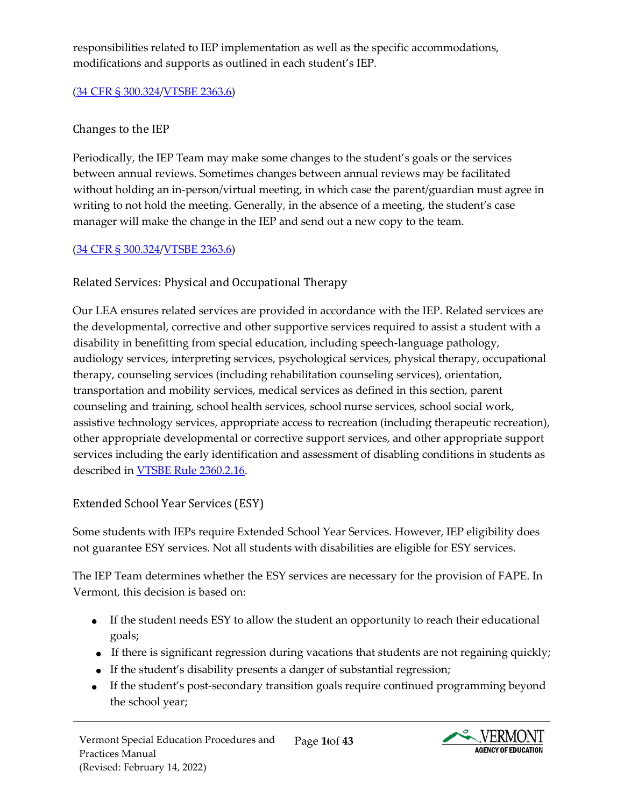responsibilities related to IEP implementation as well as the specific accommodations, modifications and supports as outlined in each student's IEP.

[\(34 CFR § 300.324](https://sites.ed.gov/idea/regs/b/d/300.324)[/VTSBE 2363.6\)](https://education.vermont.gov/sites/aoe/files/documents/edu-series-2360-special-education-rules.pdf#page=95) 

#### <span id="page-15-0"></span>Changes to the IEP

Periodically, the IEP Team may make some changes to the student's goals or the services between annual reviews. Sometimes changes between annual reviews may be facilitated without holding an in-person/virtual meeting, in which case the parent/guardian must agree in writing to not hold the meeting. Generally, in the absence of a meeting, the student's case manager will make the change in the IEP and send out a new copy to the team.

#### [\(34 CFR § 300.324](https://sites.ed.gov/idea/regs/b/d/300.324)[/VTSBE 2363.6\)](https://education.vermont.gov/sites/aoe/files/documents/edu-series-2360-special-education-rules.pdf#page=95)

## <span id="page-15-1"></span>Related Services: Physical and Occupational Therapy

Our LEA ensures related services are provided in accordance with the IEP. Related services are the developmental, corrective and other supportive services required to assist a student with a disability in benefitting from special education, including speech-language pathology, audiology services, interpreting services, psychological services, physical therapy, occupational therapy, counseling services (including rehabilitation counseling services), orientation, transportation and mobility services, medical services as defined in this section, parent counseling and training, school health services, school nurse services, school social work, assistive technology services, appropriate access to recreation (including therapeutic recreation), other appropriate developmental or corrective support services, and other appropriate support services including the early identification and assessment of disabling conditions in students as described in [VTSBE Rule 2360.2.16.](https://education.vermont.gov/sites/aoe/files/documents/edu-series-2360-special-education-rules.pdf#page=21) 

## <span id="page-15-2"></span>Extended School Year Services (ESY)

Some students with IEPs require Extended School Year Services. However, IEP eligibility does not guarantee ESY services. Not all students with disabilities are eligible for ESY services.

The IEP Team determines whether the ESY services are necessary for the provision of FAPE. In Vermont, this decision is based on:

- If the student needs ESY to allow the student an opportunity to reach their educational goals;
- If there is significant regression during vacations that students are not regaining quickly;
- If the student's disability presents a danger of substantial regression;
- If the student's post-secondary transition goals require continued programming beyond the school year;

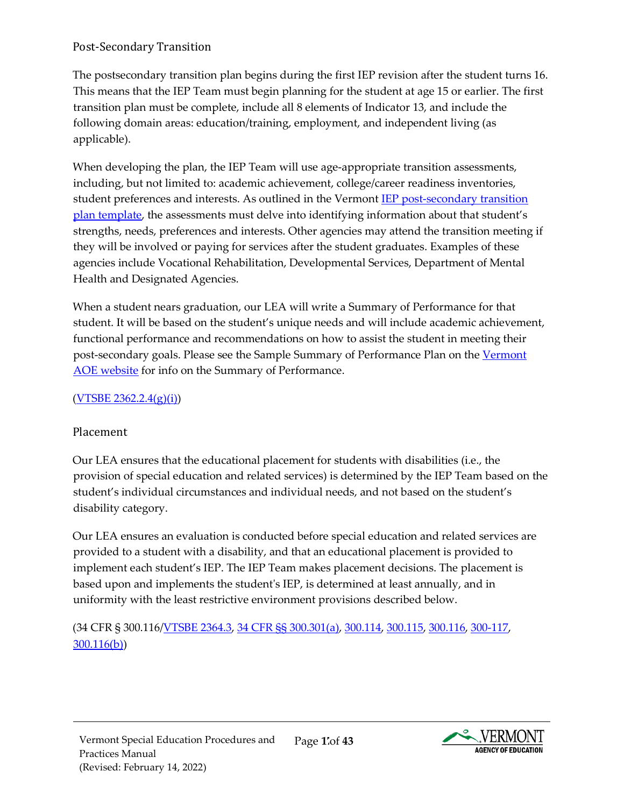#### <span id="page-16-0"></span>Post-Secondary Transition

The postsecondary transition plan begins during the first IEP revision after the student turns 16. This means that the IEP Team must begin planning for the student at age 15 or earlier. The first transition plan must be complete, include all 8 elements of Indicator 13, and include the following domain areas: education/training, employment, and independent living (as applicable).

When developing the plan, the IEP Team will use age-appropriate transition assessments, including, but not limited to: academic achievement, college/career readiness inventories, student preferences and interests. As outlined in the Vermont [IEP post-secondary transition](https://education.vermont.gov/documents/edu-individualized-education-program-post-secondary-transition-plan-template) [plan template,](https://education.vermont.gov/documents/edu-individualized-education-program-post-secondary-transition-plan-template) the assessments must delve into identifying information about that student's strengths, needs, preferences and interests. Other agencies may attend the transition meeting if they will be involved or paying for services after the student graduates. Examples of these agencies include Vocational Rehabilitation, Developmental Services, Department of Mental Health and Designated Agencies.

When a student nears graduation, our LEA will write a Summary of Performance for that student. It will be based on the student's unique needs and will include academic achievement, functional performance and recommendations on how to assist the student in meeting their post-secondary goals. Please see the Sample Summary of Performance Plan on the [Vermont](https://education.vermont.gov/documents/sample-summary-of-performance-exit-report) [AOE website](https://education.vermont.gov/documents/sample-summary-of-performance-exit-report) for info on the Summary of Performance.

#### $(YTSBE 2362.2.4(g)(i))$

## <span id="page-16-1"></span>Placement

Our LEA ensures that the educational placement for students with disabilities (i.e., the provision of special education and related services) is determined by the IEP Team based on the student's individual circumstances and individual needs, and not based on the student's disability category.

Our LEA ensures an evaluation is conducted before special education and related services are provided to a student with a disability, and that an educational placement is provided to implement each student's IEP. The IEP Team makes placement decisions. The placement is based upon and implements the student's IEP, is determined at least annually, and in uniformity with the least restrictive environment provisions described below.

(34 CFR § 300.116[/VTSBE 2364.3,](https://education.vermont.gov/sites/aoe/files/documents/edu-series-2360-special-education-rules.pdf#page=105) [34 CFR §§ 300.301\(a\),](https://sites.ed.gov/idea/regs/b/d/300.301/a) [300.114,](https://sites.ed.gov/idea/regs/b/b/300.114) [300.115,](https://sites.ed.gov/idea/regs/b/b/300.115) [300.116,](https://sites.ed.gov/idea/regs/b/b/300.116) [300-117,](https://sites.ed.gov/idea/regs/b/b/300.117) [300.116\(b\)\)](https://sites.ed.gov/idea/regs/b/b/300.116/b) 

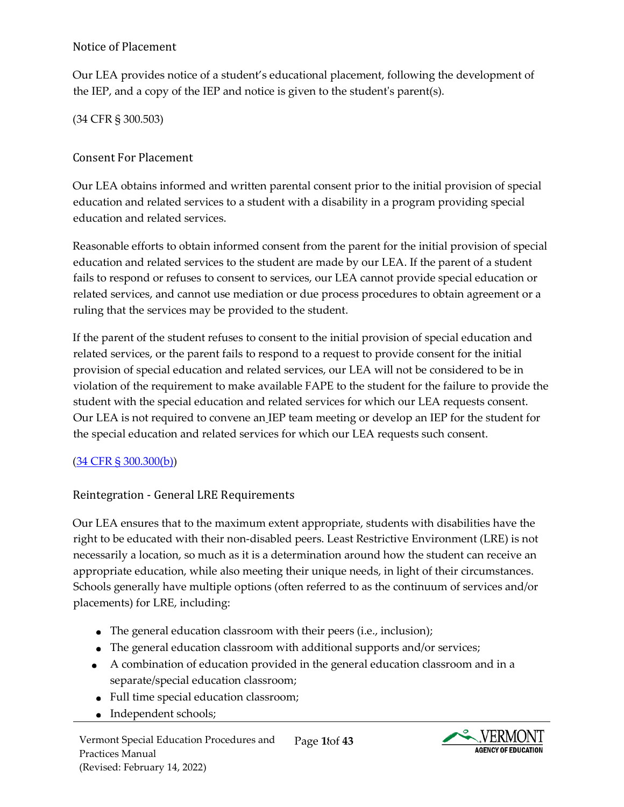#### <span id="page-17-0"></span>Notice of Placement

Our LEA provides notice of a student's educational placement, following the development of the IEP, and a copy of the IEP and notice is given to the student's parent(s).

(34 CFR § 300.503)

#### <span id="page-17-1"></span>Consent For Placement

Our LEA obtains informed and written parental consent prior to the initial provision of special education and related services to a student with a disability in a program providing special education and related services.

Reasonable efforts to obtain informed consent from the parent for the initial provision of special education and related services to the student are made by our LEA. If the parent of a student fails to respond or refuses to consent to services, our LEA cannot provide special education or related services, and cannot use mediation or due process procedures to obtain agreement or a ruling that the services may be provided to the student.

If the parent of the student refuses to consent to the initial provision of special education and related services, or the parent fails to respond to a request to provide consent for the initial provision of special education and related services, our LEA will not be considered to be in violation of the requirement to make available FAPE to the student for the failure to provide the student with the special education and related services for which our LEA requests consent. Our LEA is not required to convene an IEP team meeting or develop an IEP for the student for the special education and related services for which our LEA requests such consent.

#### [\(34 CFR § 300.300\(b\)\)](https://sites.ed.gov/idea/regs/b/d/300.300/b)

#### <span id="page-17-2"></span>Reintegration - General LRE Requirements

Our LEA ensures that to the maximum extent appropriate, students with disabilities have the right to be educated with their non-disabled peers. Least Restrictive Environment (LRE) is not necessarily a location, so much as it is a determination around how the student can receive an appropriate education, while also meeting their unique needs, in light of their circumstances. Schools generally have multiple options (often referred to as the continuum of services and/or placements) for LRE, including:

- The general education classroom with their peers (i.e., inclusion);
- The general education classroom with additional supports and/or services;
- A combination of education provided in the general education classroom and in a separate/special education classroom;
- Full time special education classroom;
- Independent schools;

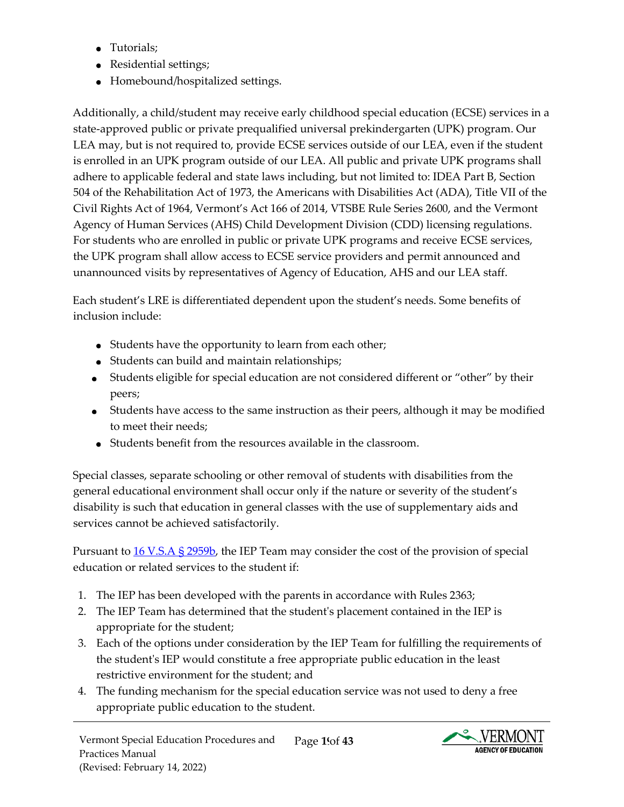- Tutorials;
- Residential settings;
- Homebound/hospitalized settings.

Additionally, a child/student may receive early childhood special education (ECSE) services in a state-approved public or private prequalified universal prekindergarten (UPK) program. Our LEA may, but is not required to, provide ECSE services outside of our LEA, even if the student is enrolled in an UPK program outside of our LEA. All public and private UPK programs shall adhere to applicable federal and state laws including, but not limited to: IDEA Part B, Section 504 of the Rehabilitation Act of 1973, the Americans with Disabilities Act (ADA), Title VII of the Civil Rights Act of 1964, Vermont's Act 166 of 2014, VTSBE Rule Series 2600, and the Vermont Agency of Human Services (AHS) Child Development Division (CDD) licensing regulations. For students who are enrolled in public or private UPK programs and receive ECSE services, the UPK program shall allow access to ECSE service providers and permit announced and unannounced visits by representatives of Agency of Education, AHS and our LEA staff.

Each student's LRE is differentiated dependent upon the student's needs. Some benefits of inclusion include:

- Students have the opportunity to learn from each other;
- Students can build and maintain relationships;
- Students eligible for special education are not considered different or "other" by their peers;
- Students have access to the same instruction as their peers, although it may be modified to meet their needs;
- Students benefit from the resources available in the classroom.

Special classes, separate schooling or other removal of students with disabilities from the general educational environment shall occur only if the nature or severity of the student's disability is such that education in general classes with the use of supplementary aids and services cannot be achieved satisfactorily.

Pursuant to [16 V.S.A § 2959b,](https://legislature.vermont.gov/statutes/section/16/101/02959) the IEP Team may consider the cost of the provision of special education or related services to the student if:

- 1. The IEP has been developed with the parents in accordance with Rules 2363;
- 2. The IEP Team has determined that the student's placement contained in the IEP is appropriate for the student;
- 3. Each of the options under consideration by the IEP Team for fulfilling the requirements of the student's IEP would constitute a free appropriate public education in the least restrictive environment for the student; and
- 4. The funding mechanism for the special education service was not used to deny a free appropriate public education to the student.

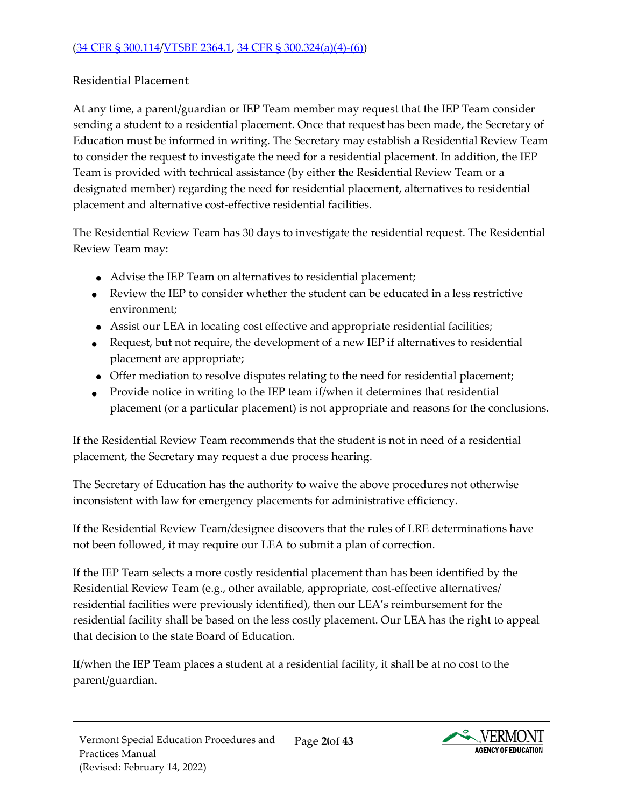#### <span id="page-19-0"></span>Residential Placement

At any time, a parent/guardian or IEP Team member may request that the IEP Team consider sending a student to a residential placement. Once that request has been made, the Secretary of Education must be informed in writing. The Secretary may establish a Residential Review Team to consider the request to investigate the need for a residential placement. In addition, the IEP Team is provided with technical assistance (by either the Residential Review Team or a designated member) regarding the need for residential placement, alternatives to residential placement and alternative cost-effective residential facilities.

The Residential Review Team has 30 days to investigate the residential request. The Residential Review Team may:

- Advise the IEP Team on alternatives to residential placement;
- Review the IEP to consider whether the student can be educated in a less restrictive environment;
- Assist our LEA in locating cost effective and appropriate residential facilities;
- Request, but not require, the development of a new IEP if alternatives to residential placement are appropriate;
- Offer mediation to resolve disputes relating to the need for residential placement;
- Provide notice in writing to the IEP team if/when it determines that residential placement (or a particular placement) is not appropriate and reasons for the conclusions.

If the Residential Review Team recommends that the student is not in need of a residential placement, the Secretary may request a due process hearing.

The Secretary of Education has the authority to waive the above procedures not otherwise inconsistent with law for emergency placements for administrative efficiency.

If the Residential Review Team/designee discovers that the rules of LRE determinations have not been followed, it may require our LEA to submit a plan of correction.

If the IEP Team selects a more costly residential placement than has been identified by the Residential Review Team (e.g., other available, appropriate, cost-effective alternatives/ residential facilities were previously identified), then our LEA's reimbursement for the residential facility shall be based on the less costly placement. Our LEA has the right to appeal that decision to the state Board of Education.

If/when the IEP Team places a student at a residential facility, it shall be at no cost to the parent/guardian.

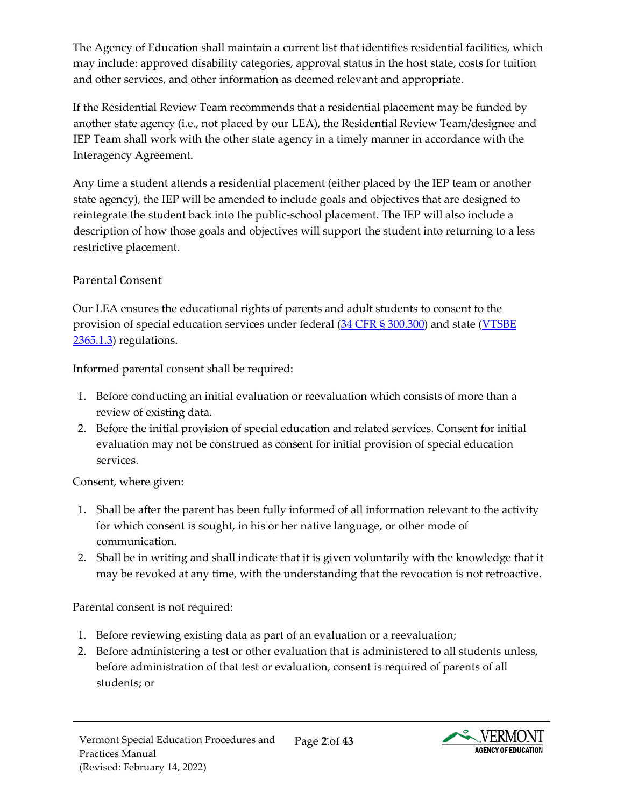The Agency of Education shall maintain a current list that identifies residential facilities, which may include: approved disability categories, approval status in the host state, costs for tuition and other services, and other information as deemed relevant and appropriate.

If the Residential Review Team recommends that a residential placement may be funded by another state agency (i.e., not placed by our LEA), the Residential Review Team/designee and IEP Team shall work with the other state agency in a timely manner in accordance with the Interagency Agreement.

Any time a student attends a residential placement (either placed by the IEP team or another state agency), the IEP will be amended to include goals and objectives that are designed to reintegrate the student back into the public-school placement. The IEP will also include a description of how those goals and objectives will support the student into returning to a less restrictive placement.

## <span id="page-20-0"></span>Parental Consent

Our LEA ensures the educational rights of parents and adult students to consent to the provision of special education services under federal [\(34 CFR § 300.300\)](https://sites.ed.gov/idea/regs/b/d/300.300) and stat[e](https://education.vermont.gov/sites/aoe/files/documents/edu-series-2360-special-education-rules.pdf#%5B%7B%22num%22%3A227%2C%22gen%22%3A0%7D%2C%7B%22name%22%3A%22Fit%22%7D%5D) [\(VTSBE](https://education.vermont.gov/sites/aoe/files/documents/edu-series-2360-special-education-rules.pdf#page=110) [2365.1.3\)](https://education.vermont.gov/sites/aoe/files/documents/edu-series-2360-special-education-rules.pdf#page=110) regulations.

Informed parental consent shall be required:

- 1. Before conducting an initial evaluation or reevaluation which consists of more than a review of existing data.
- 2. Before the initial provision of special education and related services. Consent for initial evaluation may not be construed as consent for initial provision of special education services.

Consent, where given:

- 1. Shall be after the parent has been fully informed of all information relevant to the activity for which consent is sought, in his or her native language, or other mode of communication.
- 2. Shall be in writing and shall indicate that it is given voluntarily with the knowledge that it may be revoked at any time, with the understanding that the revocation is not retroactive.

Parental consent is not required:

- 1. Before reviewing existing data as part of an evaluation or a reevaluation;
- 2. Before administering a test or other evaluation that is administered to all students unless, before administration of that test or evaluation, consent is required of parents of all students; or

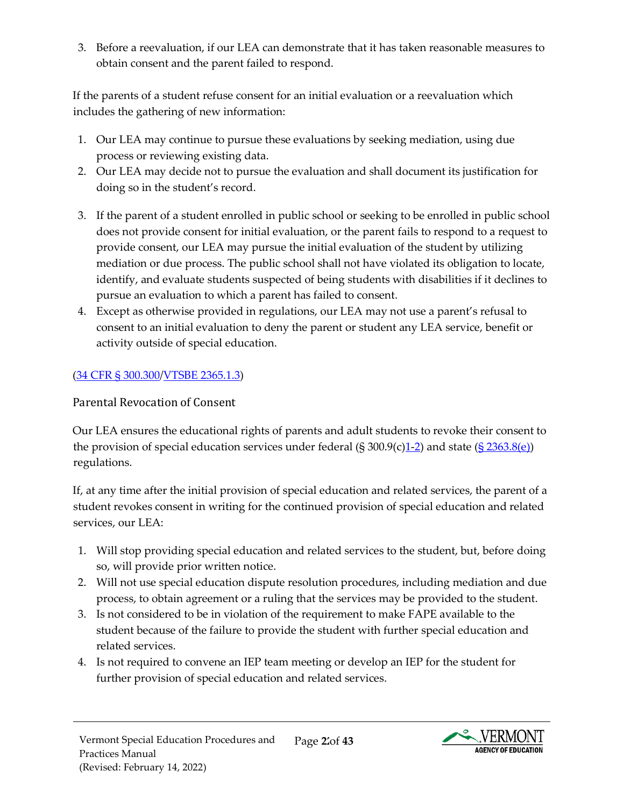3. Before a reevaluation, if our LEA can demonstrate that it has taken reasonable measures to obtain consent and the parent failed to respond.

If the parents of a student refuse consent for an initial evaluation or a reevaluation which includes the gathering of new information:

- 1. Our LEA may continue to pursue these evaluations by seeking mediation, using due process or reviewing existing data.
- 2. Our LEA may decide not to pursue the evaluation and shall document its justification for doing so in the student's record.
- 3. If the parent of a student enrolled in public school or seeking to be enrolled in public school does not provide consent for initial evaluation, or the parent fails to respond to a request to provide consent, our LEA may pursue the initial evaluation of the student by utilizing mediation or due process. The public school shall not have violated its obligation to locate, identify, and evaluate students suspected of being students with disabilities if it declines to pursue an evaluation to which a parent has failed to consent.
- 4. Except as otherwise provided in regulations, our LEA may not use a parent's refusal to consent to an initial evaluation to deny the parent or student any LEA service, benefit or activity outside of special education.

#### [\(34 CFR § 300.300](https://sites.ed.gov/idea/regs/b/d/300.300/b)[/VTSBE 2365.1.3\)](https://education.vermont.gov/sites/aoe/files/documents/edu-series-2360-special-education-rules.pdf#page=110)

#### <span id="page-21-0"></span>Parental Revocation of Consent

Our LEA ensures the educational rights of parents and adult students to revoke their consent to the provision of special education services under federal  $(\frac{5300.9(c)}{1-2})$  and state  $(\frac{52363.8(e)}{2})$ regulations.

If, at any time after the initial provision of special education and related services, the parent of a student revokes consent in writing for the continued provision of special education and related services, our LEA:

- 1. Will stop providing special education and related services to the student, but, before doing so, will provide prior written notice.
- 2. Will not use special education dispute resolution procedures, including mediation and due process, to obtain agreement or a ruling that the services may be provided to the student.
- 3. Is not considered to be in violation of the requirement to make FAPE available to the student because of the failure to provide the student with further special education and related services.
- 4. Is not required to convene an IEP team meeting or develop an IEP for the student for further provision of special education and related services.

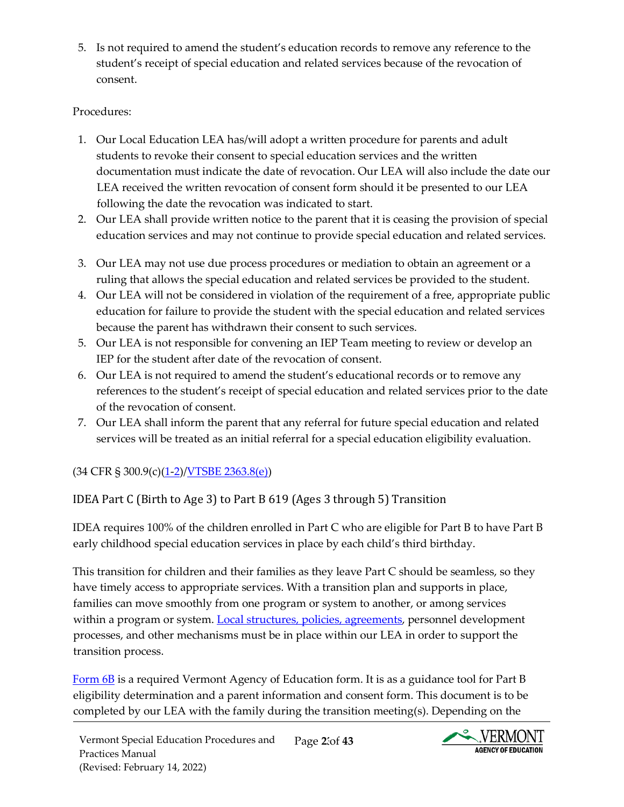5. Is not required to amend the student's education records to remove any reference to the student's receipt of special education and related services because of the revocation of consent.

#### Procedures:

- 1. Our Local Education LEA has/will adopt a written procedure for parents and adult students to revoke their consent to special education services and the written documentation must indicate the date of revocation. Our LEA will also include the date our LEA received the written revocation of consent form should it be presented to our LEA following the date the revocation was indicated to start.
- 2. Our LEA shall provide written notice to the parent that it is ceasing the provision of special education services and may not continue to provide special education and related services.
- 3. Our LEA may not use due process procedures or mediation to obtain an agreement or a ruling that allows the special education and related services be provided to the student.
- 4. Our LEA will not be considered in violation of the requirement of a free, appropriate public education for failure to provide the student with the special education and related services because the parent has withdrawn their consent to such services.
- 5. Our LEA is not responsible for convening an IEP Team meeting to review or develop an IEP for the student after date of the revocation of consent.
- 6. Our LEA is not required to amend the student's educational records or to remove any references to the student's receipt of special education and related services prior to the date of the revocation of consent.
- 7. Our LEA shall inform the parent that any referral for future special education and related services will be treated as an initial referral for a special education eligibility evaluation.

 $(34 \text{ CFR } $ 300.9(c) (1-2) / VTSBE 2363.8(e))$  $(34 \text{ CFR } $ 300.9(c) (1-2) / VTSBE 2363.8(e))$  $(34 \text{ CFR } $ 300.9(c) (1-2) / VTSBE 2363.8(e))$  $(34 \text{ CFR } $ 300.9(c) (1-2) / VTSBE 2363.8(e))$ 

# <span id="page-22-0"></span>IDEA Part C (Birth to Age 3) to Part B 619 (Ages 3 through 5) Transition

IDEA requires 100% of the children enrolled in Part C who are eligible for Part B to have Part B early childhood special education services in place by each child's third birthday.

This transition for children and their families as they leave Part C should be seamless, so they have timely access to appropriate services. With a transition plan and supports in place, families can move smoothly from one program or system to another, or among services within a program or system[.](https://ectacenter.org/topics/transition/stateex.asp) [Local structures, policies, agreements,](https://ectacenter.org/topics/transition/stateex.asp) personnel development processes, and other mechanisms must be in place within our LEA in order to support the transition process.

[Form 6B](https://education.vermont.gov/sites/aoe/files/documents/edu-form-6b-idea-part-c-to-part-b-transition.pdf) is a required Vermont Agency of Education form. It is as a guidance tool for Part B eligibility determination and a parent information and consent form. This document is to be completed by our LEA with the family during the transition meeting(s). Depending on the

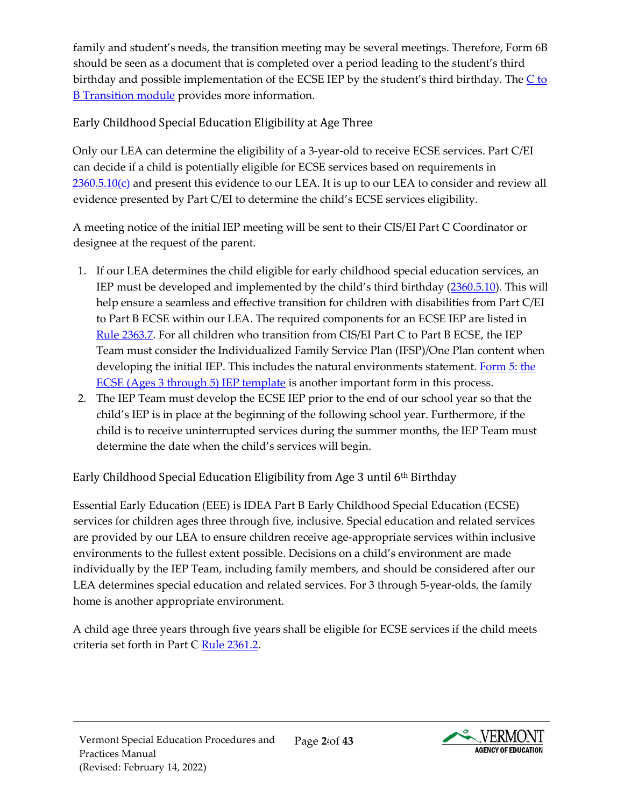family and student's needs, the transition meeting may be several meetings. Therefore, Form 6B should be seen as a document that is completed over a period leading to the student's third birthday and possible implementation of the ECSE IEP by the student's third birthday. The  $C$  to **B** Transition module provides more information.

# <span id="page-23-0"></span>Early Childhood Special Education Eligibility at Age Three

Only our LEA can determine the eligibility of a 3-year-old to receive ECSE services. Part C/EI can decide if a child is potentially eligible for ECSE services based on requirements in  $2360.5.10(c)$  and present this evidence to our LEA. It is up to our LEA to consider and review all evidence presented by Part C/EI to determine the child's ECSE services eligibility.

A meeting notice of the initial IEP meeting will be sent to their CIS/EI Part C Coordinator or designee at the request of the parent.

- 1. If our LEA determines the child eligible for early childhood special education services, an IEP must be developed and implemented by the child's third birthday [\(2360.5.10\).](https://education.vermont.gov/sites/aoe/files/documents/edu-series-2360-special-education-rules.pdf#%5B%7B%22num%22%3A107%2C%22gen%22%3A0%7D%2C%7B%22name%22%3A%22Fit%22%7D%5D) This will help ensure a seamless and effective transition for children with disabilities from Part C/EI to Part B ECSE within our LEA. The required components for an ECSE IEP are listed in [Rule 2363.7.](https://education.vermont.gov/sites/aoe/files/documents/edu-series-2360-special-education-rules.pdf#%5B%7B%22num%22%3A201%2C%22gen%22%3A0%7D%2C%7B%22name%22%3A%22Fit%22%7D%5D) For all children who transition from CIS/EI Part C to Part B ECSE, the IEP Team must consider the Individualized Family Service Plan (IFSP)/One Plan content when developing the initial IEP. This includes the natural environments statement. [Form 5: the](https://education.vermont.gov/documents/edu-form-5-early-childhood-special-education-ecse-ages-3-through-5-iep) [ECSE \(Ages 3 through 5\) IEP template](https://education.vermont.gov/documents/edu-form-5-early-childhood-special-education-ecse-ages-3-through-5-iep) is another important form in this process.
- 2. The IEP Team must develop the ECSE IEP prior to the end of our school year so that the child's IEP is in place at the beginning of the following school year. Furthermore, if the child is to receive uninterrupted services during the summer months, the IEP Team must determine the date when the child's services will begin.

<span id="page-23-1"></span>Early Childhood Special Education Eligibility from Age 3 until 6th Birthday

Essential Early Education (EEE) is IDEA Part B Early Childhood Special Education (ECSE) services for children ages three through five, inclusive. Special education and related services are provided by our LEA to ensure children receive age-appropriate services within inclusive environments to the fullest extent possible. Decisions on a child's environment are made individually by the IEP Team, including family members, and should be considered after our LEA determines special education and related services. For 3 through 5-year-olds, the family home is another appropriate environment.

A child age three years through five years shall be eligible for ECSE services if the child meets criteria set forth in Part [C Rule 2361.2.](https://education.vermont.gov/sites/aoe/files/documents/edu-series-2360-special-education-rules.pdf#%5B%7B%22num%22%3A135%2C%22gen%22%3A0%7D%2C%7B%22name%22%3A%22Fit%22%7D%5D) 

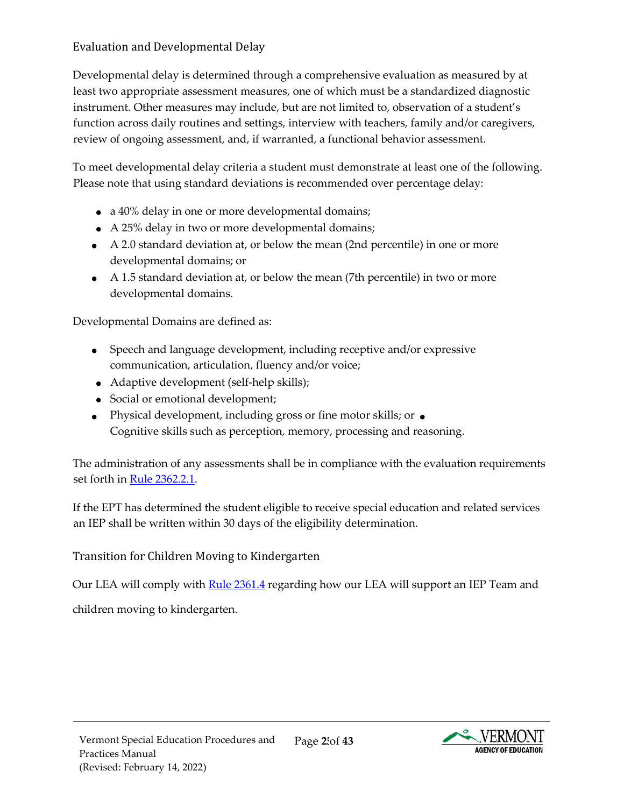#### <span id="page-24-0"></span>Evaluation and Developmental Delay

Developmental delay is determined through a comprehensive evaluation as measured by at least two appropriate assessment measures, one of which must be a standardized diagnostic instrument. Other measures may include, but are not limited to, observation of a student's function across daily routines and settings, interview with teachers, family and/or caregivers, review of ongoing assessment, and, if warranted, a functional behavior assessment.

To meet developmental delay criteria a student must demonstrate at least one of the following. Please note that using standard deviations is recommended over percentage delay:

- a 40% delay in one or more developmental domains;
- A 25% delay in two or more developmental domains;
- A 2.0 standard deviation at, or below the mean (2nd percentile) in one or more developmental domains; or
- A 1.5 standard deviation at, or below the mean (7th percentile) in two or more developmental domains.

Developmental Domains are defined as:

- Speech and language development, including receptive and/or expressive communication, articulation, fluency and/or voice;
- Adaptive development (self-help skills);
- Social or emotional development;
- Physical development, including gross or fine motor skills; or  $\bullet$ Cognitive skills such as perception, memory, processing and reasoning.

The administration of any assessments shall be in compliance with the evaluation requirements set forth in [Rule 2362.2.1.](https://education.vermont.gov/sites/aoe/files/documents/edu-series-2360-special-education-rules.pdf#%5B%7B%22num%22%3A159%2C%22gen%22%3A0%7D%2C%7B%22name%22%3A%22Fit%22%7D%5D) 

If the EPT has determined the student eligible to receive special education and related services an IEP shall be written within 30 days of the eligibility determination.

<span id="page-24-1"></span>Transition for Children Moving to Kindergarten

Our LEA will comply with [Rule 2361.4](https://education.vermont.gov/sites/aoe/files/documents/edu-series-2360-special-education-rules.pdf#%5B%7B%22num%22%3A139%2C%22gen%22%3A0%7D%2C%7B%22name%22%3A%22Fit%22%7D%5D) regarding how our LEA will support an IEP Team and

children moving to kindergarten.

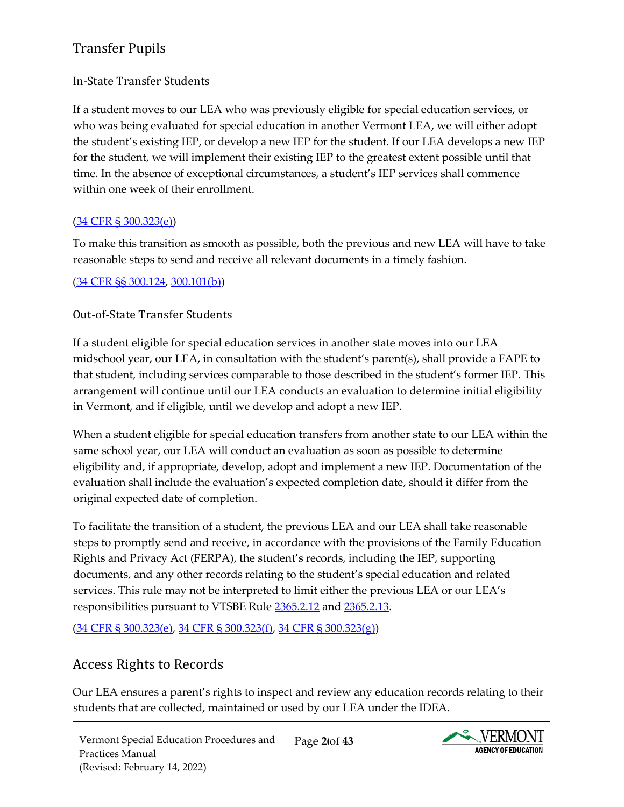# <span id="page-25-0"></span>Transfer Pupils

## <span id="page-25-1"></span>In-State Transfer Students

If a student moves to our LEA who was previously eligible for special education services, or who was being evaluated for special education in another Vermont LEA, we will either adopt the student's existing IEP, or develop a new IEP for the student. If our LEA develops a new IEP for the student, we will implement their existing IEP to the greatest extent possible until that time. In the absence of exceptional circumstances, a student's IEP services shall commence within one week of their enrollment.

#### [\(34 CFR § 300.323\(e\)\)](https://sites.ed.gov/idea/regs/b/d/300.323/e)

To make this transition as smooth as possible, both the previous and new LEA will have to take reasonable steps to send and receive all relevant documents in a timely fashion.

#### [\(34 CFR §§ 300.124,](https://sites.ed.gov/idea/regs/b/b/300.124) [300.101\(b\)\)](https://sites.ed.gov/idea/regs/b/b/300.101/b)

#### <span id="page-25-2"></span>Out-of-State Transfer Students

If a student eligible for special education services in another state moves into our LEA midschool year, our LEA, in consultation with the student's parent(s), shall provide a FAPE to that student, including services comparable to those described in the student's former IEP. This arrangement will continue until our LEA conducts an evaluation to determine initial eligibility in Vermont, and if eligible, until we develop and adopt a new IEP.

When a student eligible for special education transfers from another state to our LEA within the same school year, our LEA will conduct an evaluation as soon as possible to determine eligibility and, if appropriate, develop, adopt and implement a new IEP. Documentation of the evaluation shall include the evaluation's expected completion date, should it differ from the original expected date of completion.

To facilitate the transition of a student, the previous LEA and our LEA shall take reasonable steps to promptly send and receive, in accordance with the provisions of the Family Education Rights and Privacy Act (FERPA), the student's records, including the IEP, supporting documents, and any other records relating to the student's special education and related services. This rule may not be interpreted to limit either the previous LEA or our LEA's responsibilities pursuant to VTSBE Rule [2365.2.12](https://education.vermont.gov/sites/aoe/files/documents/edu-series-2360-special-education-rules.pdf#page=140) an[d 2365.2.13.](https://education.vermont.gov/sites/aoe/files/documents/edu-series-2360-special-education-rules.pdf#page=140)

[\(34 CFR § 300.323\(e\),](https://sites.ed.gov/idea/regs/b/d/300.323/e) [34 CFR § 300.323\(f\),](https://sites.ed.gov/idea/regs/b/d/300.323/f) [34 CFR § 300.323\(g\)\)](https://sites.ed.gov/idea/regs/b/d/300.323/g) 

# <span id="page-25-3"></span>Access Rights to Records

Our LEA ensures a parent's rights to inspect and review any education records relating to their students that are collected, maintained or used by our LEA under the IDEA.

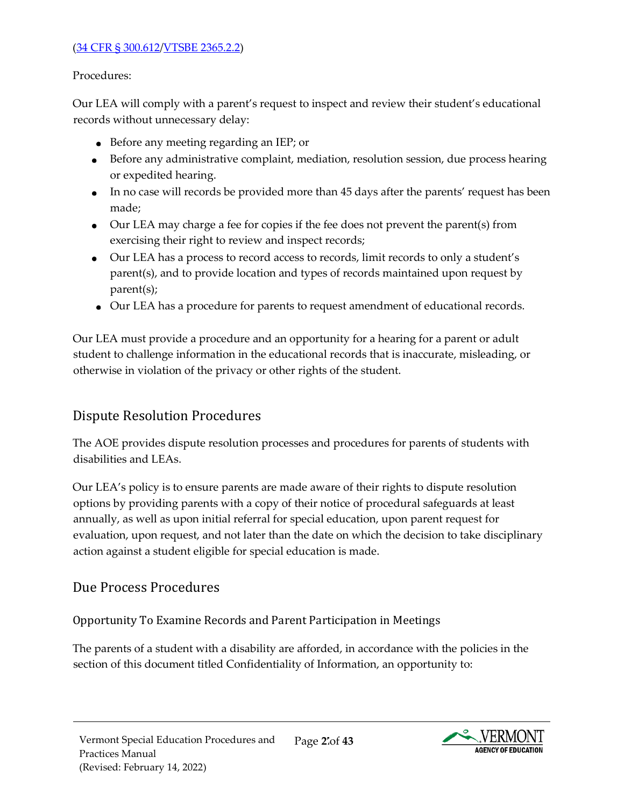#### [\(34 CFR § 300.612](https://sites.ed.gov/idea/regs/b/f/300.612)[/VTSBE 2365.2.2\)](https://education.vermont.gov/sites/aoe/files/documents/edu-series-2360-special-education-rules.pdf#page=136)

#### Procedures:

Our LEA will comply with a parent's request to inspect and review their student's educational records without unnecessary delay:

- Before any meeting regarding an IEP; or
- Before any administrative complaint, mediation, resolution session, due process hearing or expedited hearing.
- In no case will records be provided more than 45 days after the parents' request has been made;
- Our LEA may charge a fee for copies if the fee does not prevent the parent(s) from exercising their right to review and inspect records;
- Our LEA has a process to record access to records, limit records to only a student's parent(s), and to provide location and types of records maintained upon request by parent(s);
- Our LEA has a procedure for parents to request amendment of educational records.

Our LEA must provide a procedure and an opportunity for a hearing for a parent or adult student to challenge information in the educational records that is inaccurate, misleading, or otherwise in violation of the privacy or other rights of the student.

## <span id="page-26-0"></span>Dispute Resolution Procedures

The AOE provides dispute resolution processes and procedures for parents of students with disabilities and LEAs.

Our LEA's policy is to ensure parents are made aware of their rights to dispute resolution options by providing parents with a copy of their notice of procedural safeguards at least annually, as well as upon initial referral for special education, upon parent request for evaluation, upon request, and not later than the date on which the decision to take disciplinary action against a student eligible for special education is made.

## <span id="page-26-1"></span>Due Process Procedures

<span id="page-26-2"></span>Opportunity To Examine Records and Parent Participation in Meetings

The parents of a student with a disability are afforded, in accordance with the policies in the section of this document titled Confidentiality of Information, an opportunity to:

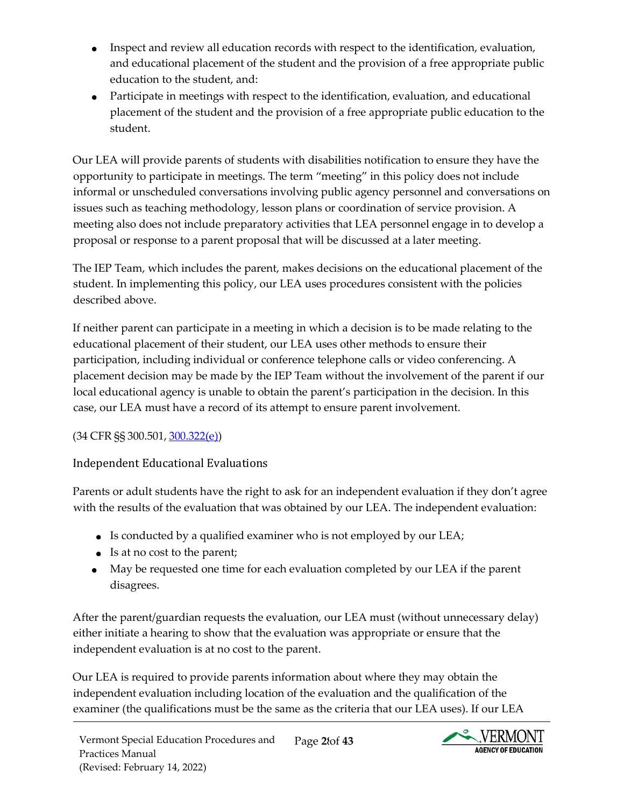- Inspect and review all education records with respect to the identification, evaluation, and educational placement of the student and the provision of a free appropriate public education to the student, and:
- Participate in meetings with respect to the identification, evaluation, and educational placement of the student and the provision of a free appropriate public education to the student.

Our LEA will provide parents of students with disabilities notification to ensure they have the opportunity to participate in meetings. The term "meeting" in this policy does not include informal or unscheduled conversations involving public agency personnel and conversations on issues such as teaching methodology, lesson plans or coordination of service provision. A meeting also does not include preparatory activities that LEA personnel engage in to develop a proposal or response to a parent proposal that will be discussed at a later meeting.

The IEP Team, which includes the parent, makes decisions on the educational placement of the student. In implementing this policy, our LEA uses procedures consistent with the policies described above.

If neither parent can participate in a meeting in which a decision is to be made relating to the educational placement of their student, our LEA uses other methods to ensure their participation, including individual or conference telephone calls or video conferencing. A placement decision may be made by the IEP Team without the involvement of the parent if our local educational agency is unable to obtain the parent's participation in the decision. In this case, our LEA must have a record of its attempt to ensure parent involvement.

## (34 CFR §§ 300.501[,](https://sites.ed.gov/idea/regs/b/d/300.322/e) [300.322\(e\)\)](https://sites.ed.gov/idea/regs/b/d/300.322/e)

## <span id="page-27-0"></span>Independent Educational Evaluations

Parents or adult students have the right to ask for an independent evaluation if they don't agree with the results of the evaluation that was obtained by our LEA. The independent evaluation:

- Is conducted by a qualified examiner who is not employed by our LEA;
- Is at no cost to the parent;
- May be requested one time for each evaluation completed by our LEA if the parent disagrees.

After the parent/guardian requests the evaluation, our LEA must (without unnecessary delay) either initiate a hearing to show that the evaluation was appropriate or ensure that the independent evaluation is at no cost to the parent.

Our LEA is required to provide parents information about where they may obtain the independent evaluation including location of the evaluation and the qualification of the examiner (the qualifications must be the same as the criteria that our LEA uses). If our LEA

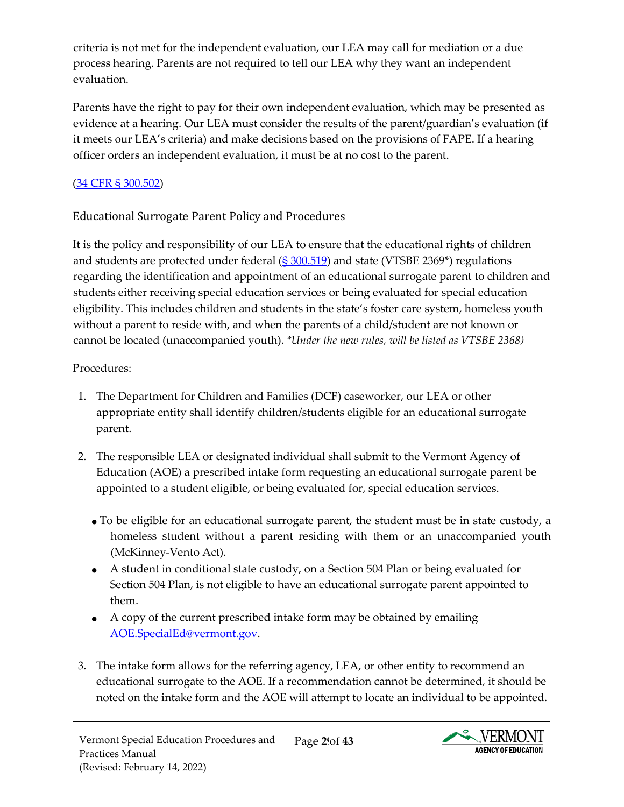criteria is not met for the independent evaluation, our LEA may call for mediation or a due process hearing. Parents are not required to tell our LEA why they want an independent evaluation.

Parents have the right to pay for their own independent evaluation, which may be presented as evidence at a hearing. Our LEA must consider the results of the parent/guardian's evaluation (if it meets our LEA's criteria) and make decisions based on the provisions of FAPE. If a hearing officer orders an independent evaluation, it must be at no cost to the parent.

#### [\(34 CFR § 300.502\)](https://sites.ed.gov/idea/regs/b/e/300.502)

<span id="page-28-0"></span>Educational Surrogate Parent Policy and Procedures

It is the policy and responsibility of our LEA to ensure that the educational rights of children and students are protected under federal  $(S\,300.519)$  and state (VTSBE 2369\*) regulations regarding the identification and appointment of an educational surrogate parent to children and students either receiving special education services or being evaluated for special education eligibility. This includes children and students in the state's foster care system, homeless youth without a parent to reside with, and when the parents of a child/student are not known or cannot be located (unaccompanied youth). *\*Under the new rules, will be listed as VTSBE 2368)* 

#### Procedures:

- 1. The Department for Children and Families (DCF) caseworker, our LEA or other appropriate entity shall identify children/students eligible for an educational surrogate parent.
- 2. The responsible LEA or designated individual shall submit to the Vermont Agency of Education (AOE) a prescribed intake form requesting an educational surrogate parent be appointed to a student eligible, or being evaluated for, special education services.
	- To be eligible for an educational surrogate parent, the student must be in state custody, a homeless student without a parent residing with them or an unaccompanied youth (McKinney-Vento Act).
	- A student in conditional state custody, on a Section 504 Plan or being evaluated for Section 504 Plan, is not eligible to have an educational surrogate parent appointed to them.
	- A copy of the current prescribed intake form may be obtained by emailing AOE.SpecialEd@vermont.gov.
- 3. The intake form allows for the referring agency, LEA, or other entity to recommend an educational surrogate to the AOE. If a recommendation cannot be determined, it should be noted on the intake form and the AOE will attempt to locate an individual to be appointed.

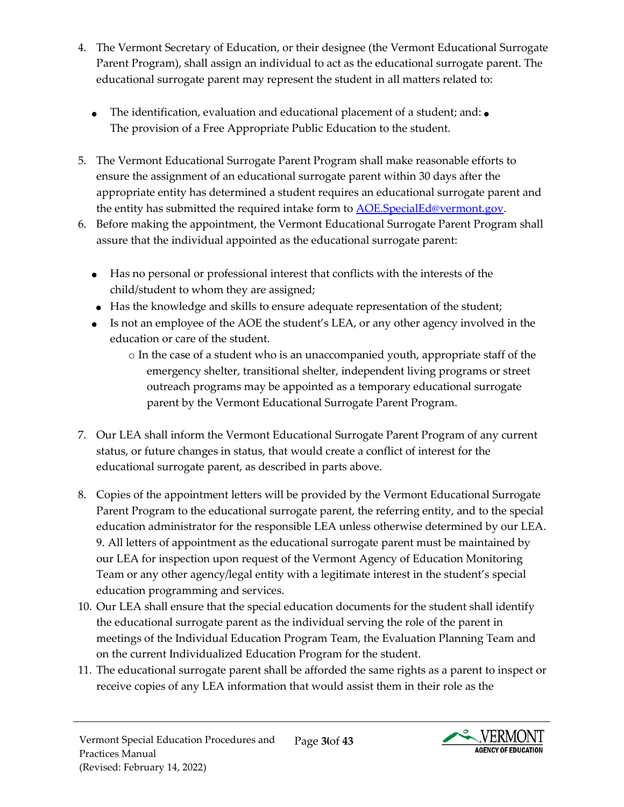- 4. The Vermont Secretary of Education, or their designee (the Vermont Educational Surrogate Parent Program), shall assign an individual to act as the educational surrogate parent. The educational surrogate parent may represent the student in all matters related to:
	- The identification, evaluation and educational placement of a student; and:  $\bullet$ The provision of a Free Appropriate Public Education to the student.
- 5. The Vermont Educational Surrogate Parent Program shall make reasonable efforts to ensure the assignment of an educational surrogate parent within 30 days after the appropriate entity has determined a student requires an educational surrogate parent and the entity has submitted the required intake form to **AOE.SpecialEd@vermont.gov**.
- 6. Before making the appointment, the Vermont Educational Surrogate Parent Program shall assure that the individual appointed as the educational surrogate parent:
	- Has no personal or professional interest that conflicts with the interests of the child/student to whom they are assigned;
	- Has the knowledge and skills to ensure adequate representation of the student;
	- Is not an employee of the AOE the student's LEA, or any other agency involved in the education or care of the student.
		- o In the case of a student who is an unaccompanied youth, appropriate staff of the emergency shelter, transitional shelter, independent living programs or street outreach programs may be appointed as a temporary educational surrogate parent by the Vermont Educational Surrogate Parent Program.
- 7. Our LEA shall inform the Vermont Educational Surrogate Parent Program of any current status, or future changes in status, that would create a conflict of interest for the educational surrogate parent, as described in parts above.
- 8. Copies of the appointment letters will be provided by the Vermont Educational Surrogate Parent Program to the educational surrogate parent, the referring entity, and to the special education administrator for the responsible LEA unless otherwise determined by our LEA. 9. All letters of appointment as the educational surrogate parent must be maintained by our LEA for inspection upon request of the Vermont Agency of Education Monitoring Team or any other agency/legal entity with a legitimate interest in the student's special education programming and services.
- 10. Our LEA shall ensure that the special education documents for the student shall identify the educational surrogate parent as the individual serving the role of the parent in meetings of the Individual Education Program Team, the Evaluation Planning Team and on the current Individualized Education Program for the student.
- 11. The educational surrogate parent shall be afforded the same rights as a parent to inspect or receive copies of any LEA information that would assist them in their role as the

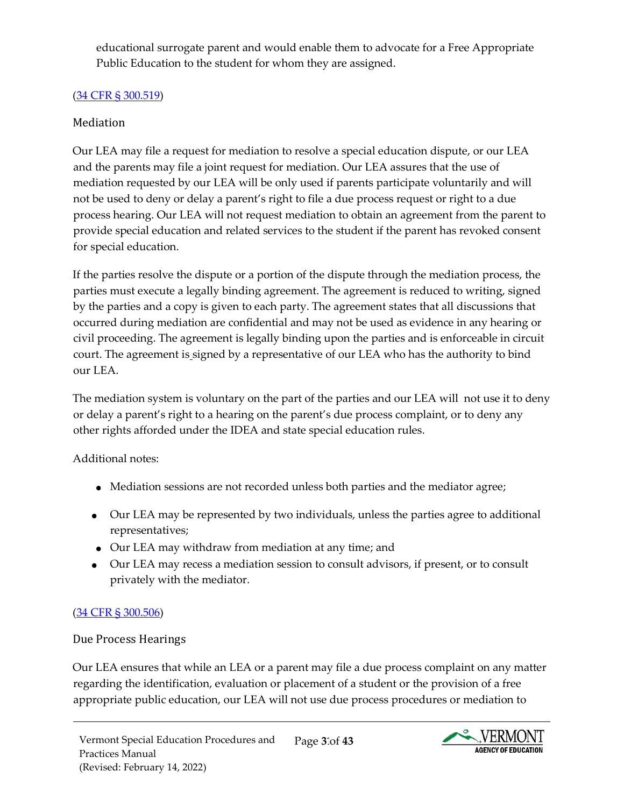educational surrogate parent and would enable them to advocate for a Free Appropriate Public Education to the student for whom they are assigned.

#### [\(34 CFR § 300.519\)](https://sites.ed.gov/idea/regs/b/e/300.519)

#### <span id="page-30-0"></span>Mediation

Our LEA may file a request for mediation to resolve a special education dispute, or our LEA and the parents may file a joint request for mediation. Our LEA assures that the use of mediation requested by our LEA will be only used if parents participate voluntarily and will not be used to deny or delay a parent's right to file a due process request or right to a due process hearing. Our LEA will not request mediation to obtain an agreement from the parent to provide special education and related services to the student if the parent has revoked consent for special education.

If the parties resolve the dispute or a portion of the dispute through the mediation process, the parties must execute a legally binding agreement. The agreement is reduced to writing, signed by the parties and a copy is given to each party. The agreement states that all discussions that occurred during mediation are confidential and may not be used as evidence in any hearing or civil proceeding. The agreement is legally binding upon the parties and is enforceable in circuit court. The agreement is signed by a representative of our LEA who has the authority to bind our LEA.

The mediation system is voluntary on the part of the parties and our LEA will not use it to deny or delay a parent's right to a hearing on the parent's due process complaint, or to deny any other rights afforded under the IDEA and state special education rules.

Additional notes:

- Mediation sessions are not recorded unless both parties and the mediator agree;
- Our LEA may be represented by two individuals, unless the parties agree to additional representatives;
- Our LEA may withdraw from mediation at any time; and
- Our LEA may recess a mediation session to consult advisors, if present, or to consult privately with the mediator.

#### [\(34 CFR § 300.506\)](https://sites.ed.gov/idea/regs/b/e/300.506)

#### <span id="page-30-1"></span>Due Process Hearings

Our LEA ensures that while an LEA or a parent may file a due process complaint on any matter regarding the identification, evaluation or placement of a student or the provision of a free appropriate public education, our LEA will not use due process procedures or mediation to

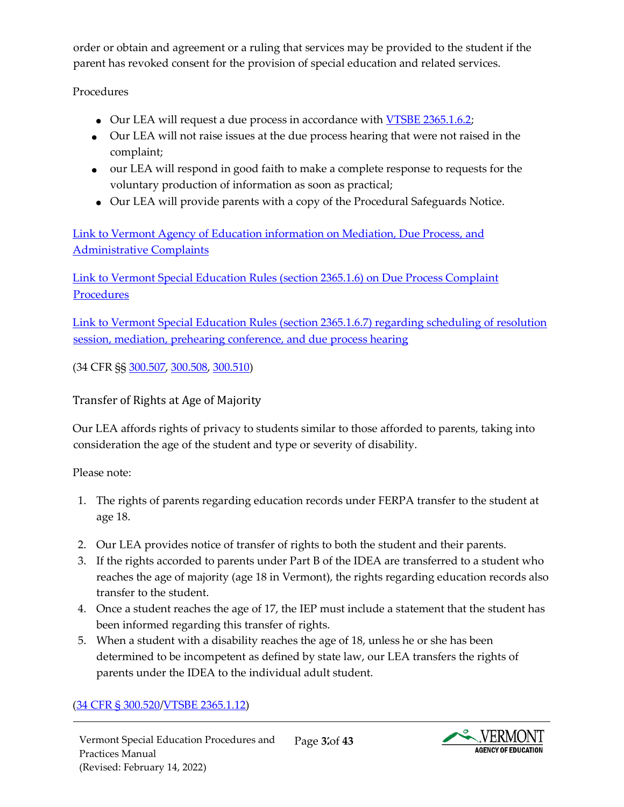order or obtain and agreement or a ruling that services may be provided to the student if the parent has revoked consent for the provision of special education and related services.

Procedures

- Our LEA will request a due process in accordance with VTSBE 2365.1.6.2;
- Our LEA will not raise issues at the due process hearing that were not raised in the complaint;
- our LEA will respond in good faith to make a complete response to requests for the voluntary production of information as soon as practical;
- Our LEA will provide parents with a copy of the Procedural Safeguards Notice.

[Link to Vermont Agency of Education information on Mediation, Due Process, and](https://education.vermont.gov/student-support/vermont-special-education/resources-for-families/dispute-resolution#due-process) [Administrative Complaints](https://education.vermont.gov/student-support/vermont-special-education/resources-for-families/dispute-resolution#due-process)

[Link to Vermont Special Education Rules \(section 2365.1.6\) on Due Process Complaint](https://education.vermont.gov/sites/aoe/files/documents/edu-series-2360-special-education-rules.pdf#%5B%7B%22num%22%3A239%2C%22gen%22%3A0%7D%2C%7B%22name%22%3A%22Fit%22%7D%5D) **[Procedures](https://education.vermont.gov/sites/aoe/files/documents/edu-series-2360-special-education-rules.pdf#%5B%7B%22num%22%3A239%2C%22gen%22%3A0%7D%2C%7B%22name%22%3A%22Fit%22%7D%5D)** 

[Link to Vermont Special Education Rules \(section 2365.1.6.7\) regarding scheduling of resolution](https://education.vermont.gov/sites/aoe/files/documents/edu-series-2360-special-education-rules.pdf#%5B%7B%22num%22%3A247%2C%22gen%22%3A0%7D%2C%7B%22name%22%3A%22Fit%22%7D%5D) [session, mediation, prehearing conference, and due process hearing](https://education.vermont.gov/sites/aoe/files/documents/edu-series-2360-special-education-rules.pdf#%5B%7B%22num%22%3A247%2C%22gen%22%3A0%7D%2C%7B%22name%22%3A%22Fit%22%7D%5D)

(34 CFR §§ [300.507,](https://sites.ed.gov/idea/regs/b/e/300.507) [300.508,](https://sites.ed.gov/idea/regs/b/e/300.508) [300.510\)](https://sites.ed.gov/idea/regs/b/e/300.510) 

<span id="page-31-0"></span>Transfer of Rights at Age of Majority

Our LEA affords rights of privacy to students similar to those afforded to parents, taking into consideration the age of the student and type or severity of disability.

Please note:

- 1. The rights of parents regarding education records under FERPA transfer to the student at age 18.
- 2. Our LEA provides notice of transfer of rights to both the student and their parents.
- 3. If the rights accorded to parents under Part B of the IDEA are transferred to a student who reaches the age of majority (age 18 in Vermont), the rights regarding education records also transfer to the student.
- 4. Once a student reaches the age of 17, the IEP must include a statement that the student has been informed regarding this transfer of rights.
- 5. When a student with a disability reaches the age of 18, unless he or she has been determined to be incompetent as defined by state law, our LEA transfers the rights of parents under the IDEA to the individual adult student.

## [\(34 CFR § 300.520](https://sites.ed.gov/idea/regs/b/e/300.520)[/VTSBE 2365.1.12\)](https://education.vermont.gov/sites/aoe/files/documents/edu-series-2360-special-education-rules.pdf#page=134)

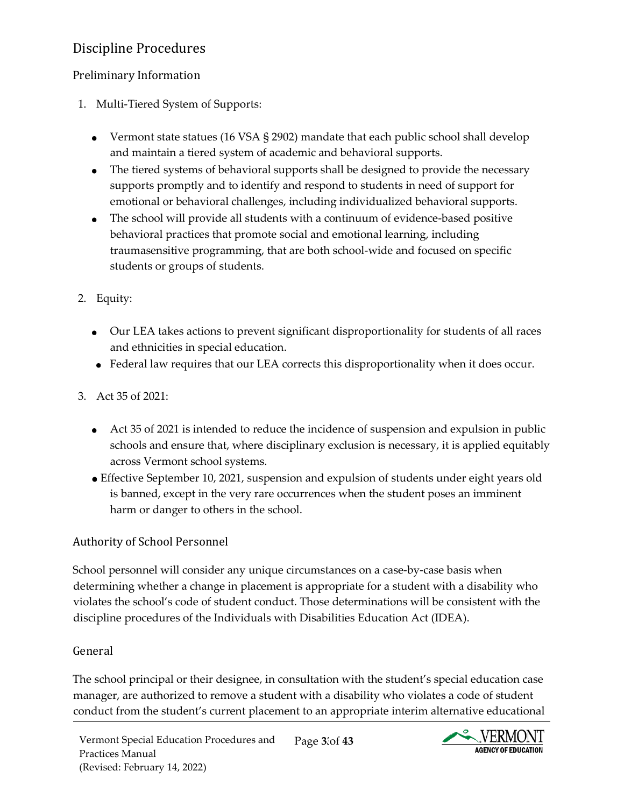# <span id="page-32-0"></span>Discipline Procedures

## <span id="page-32-1"></span>Preliminary Information

- 1. Multi-Tiered System of Supports:
	- Vermont state statues (16 VSA § 2902) mandate that each public school shall develop and maintain a tiered system of academic and behavioral supports.
	- The tiered systems of behavioral supports shall be designed to provide the necessary supports promptly and to identify and respond to students in need of support for emotional or behavioral challenges, including individualized behavioral supports.
	- The school will provide all students with a continuum of evidence-based positive behavioral practices that promote social and emotional learning, including traumasensitive programming, that are both school-wide and focused on specific students or groups of students.
- 2. Equity:
	- Our LEA takes actions to prevent significant disproportionality for students of all races and ethnicities in special education.
	- Federal law requires that our LEA corrects this disproportionality when it does occur.
- 3. Act 35 of 2021:
	- Act 35 of 2021 is intended to reduce the incidence of suspension and expulsion in public schools and ensure that, where disciplinary exclusion is necessary, it is applied equitably across Vermont school systems.
	- Effective September 10, 2021, suspension and expulsion of students under eight years old is banned, except in the very rare occurrences when the student poses an imminent harm or danger to others in the school.

# <span id="page-32-2"></span>Authority of School Personnel

School personnel will consider any unique circumstances on a case-by-case basis when determining whether a change in placement is appropriate for a student with a disability who violates the school's code of student conduct. Those determinations will be consistent with the discipline procedures of the Individuals with Disabilities Education Act (IDEA).

# <span id="page-32-3"></span>General

The school principal or their designee, in consultation with the student's special education case manager, are authorized to remove a student with a disability who violates a code of student conduct from the student's current placement to an appropriate interim alternative educational

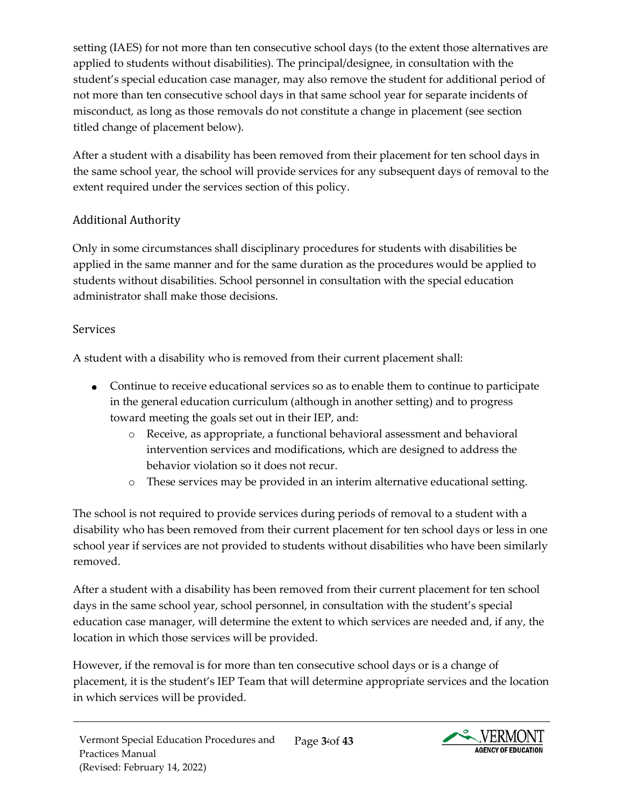setting (IAES) for not more than ten consecutive school days (to the extent those alternatives are applied to students without disabilities). The principal/designee, in consultation with the student's special education case manager, may also remove the student for additional period of not more than ten consecutive school days in that same school year for separate incidents of misconduct, as long as those removals do not constitute a change in placement (see section titled change of placement below).

After a student with a disability has been removed from their placement for ten school days in the same school year, the school will provide services for any subsequent days of removal to the extent required under the services section of this policy.

#### <span id="page-33-0"></span>Additional Authority

Only in some circumstances shall disciplinary procedures for students with disabilities be applied in the same manner and for the same duration as the procedures would be applied to students without disabilities. School personnel in consultation with the special education administrator shall make those decisions.

#### <span id="page-33-1"></span>Services

A student with a disability who is removed from their current placement shall:

- Continue to receive educational services so as to enable them to continue to participate in the general education curriculum (although in another setting) and to progress toward meeting the goals set out in their IEP, and:
	- o Receive, as appropriate, a functional behavioral assessment and behavioral intervention services and modifications, which are designed to address the behavior violation so it does not recur.
	- o These services may be provided in an interim alternative educational setting.

The school is not required to provide services during periods of removal to a student with a disability who has been removed from their current placement for ten school days or less in one school year if services are not provided to students without disabilities who have been similarly removed.

After a student with a disability has been removed from their current placement for ten school days in the same school year, school personnel, in consultation with the student's special education case manager, will determine the extent to which services are needed and, if any, the location in which those services will be provided.

However, if the removal is for more than ten consecutive school days or is a change of placement, it is the student's IEP Team that will determine appropriate services and the location in which services will be provided.

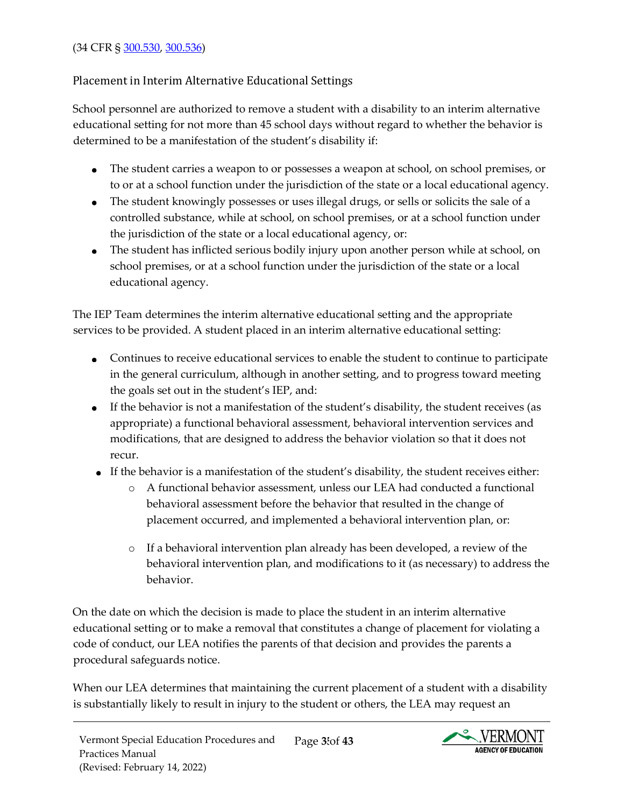#### (34 CFR § [300.530,](https://sites.ed.gov/idea/regs/b/e/300.530) [300.536\)](https://sites.ed.gov/idea/regs/b/e/300.536)

#### <span id="page-34-0"></span>Placement in Interim Alternative Educational Settings

School personnel are authorized to remove a student with a disability to an interim alternative educational setting for not more than 45 school days without regard to whether the behavior is determined to be a manifestation of the student's disability if:

- The student carries a weapon to or possesses a weapon at school, on school premises, or to or at a school function under the jurisdiction of the state or a local educational agency.
- The student knowingly possesses or uses illegal drugs, or sells or solicits the sale of a controlled substance, while at school, on school premises, or at a school function under the jurisdiction of the state or a local educational agency, or:
- The student has inflicted serious bodily injury upon another person while at school, on school premises, or at a school function under the jurisdiction of the state or a local educational agency.

The IEP Team determines the interim alternative educational setting and the appropriate services to be provided. A student placed in an interim alternative educational setting:

- Continues to receive educational services to enable the student to continue to participate in the general curriculum, although in another setting, and to progress toward meeting the goals set out in the student's IEP, and:
- If the behavior is not a manifestation of the student's disability, the student receives (as appropriate) a functional behavioral assessment, behavioral intervention services and modifications, that are designed to address the behavior violation so that it does not recur.
- If the behavior is a manifestation of the student's disability, the student receives either:
	- o A functional behavior assessment, unless our LEA had conducted a functional behavioral assessment before the behavior that resulted in the change of placement occurred, and implemented a behavioral intervention plan, or:
	- o If a behavioral intervention plan already has been developed, a review of the behavioral intervention plan, and modifications to it (as necessary) to address the behavior.

On the date on which the decision is made to place the student in an interim alternative educational setting or to make a removal that constitutes a change of placement for violating a code of conduct, our LEA notifies the parents of that decision and provides the parents a procedural safeguards notice.

When our LEA determines that maintaining the current placement of a student with a disability is substantially likely to result in injury to the student or others, the LEA may request an

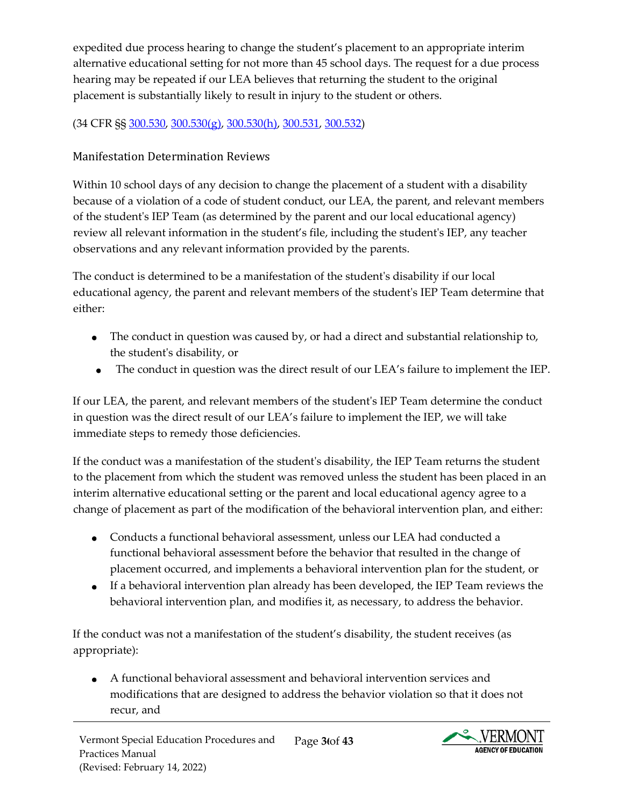expedited due process hearing to change the student's placement to an appropriate interim alternative educational setting for not more than 45 school days. The request for a due process hearing may be repeated if our LEA believes that returning the student to the original placement is substantially likely to result in injury to the student or others.

## (34 CFR §§ [300.530,](https://sites.ed.gov/idea/regs/b/e/300.530) [300.530\(g\),](https://sites.ed.gov/idea/regs/b/e/300.530/g) [300.530\(h\),](https://sites.ed.gov/idea/regs/b/e/300.530/h) [300.531,](https://sites.ed.gov/idea/regs/b/e/300.531) [300.532\)](https://sites.ed.gov/idea/regs/b/e/300.532)

## <span id="page-35-0"></span>Manifestation Determination Reviews

Within 10 school days of any decision to change the placement of a student with a disability because of a violation of a code of student conduct, our LEA, the parent, and relevant members of the student's IEP Team (as determined by the parent and our local educational agency) review all relevant information in the student's file, including the student's IEP, any teacher observations and any relevant information provided by the parents.

The conduct is determined to be a manifestation of the student's disability if our local educational agency, the parent and relevant members of the student's IEP Team determine that either:

- The conduct in question was caused by, or had a direct and substantial relationship to, the student's disability, or
- The conduct in question was the direct result of our LEA's failure to implement the IEP.

If our LEA, the parent, and relevant members of the student's IEP Team determine the conduct in question was the direct result of our LEA's failure to implement the IEP, we will take immediate steps to remedy those deficiencies.

If the conduct was a manifestation of the student's disability, the IEP Team returns the student to the placement from which the student was removed unless the student has been placed in an interim alternative educational setting or the parent and local educational agency agree to a change of placement as part of the modification of the behavioral intervention plan, and either:

- Conducts a functional behavioral assessment, unless our LEA had conducted a functional behavioral assessment before the behavior that resulted in the change of placement occurred, and implements a behavioral intervention plan for the student, or
- If a behavioral intervention plan already has been developed, the IEP Team reviews the behavioral intervention plan, and modifies it, as necessary, to address the behavior.

If the conduct was not a manifestation of the student's disability, the student receives (as appropriate):

 A functional behavioral assessment and behavioral intervention services and modifications that are designed to address the behavior violation so that it does not recur, and

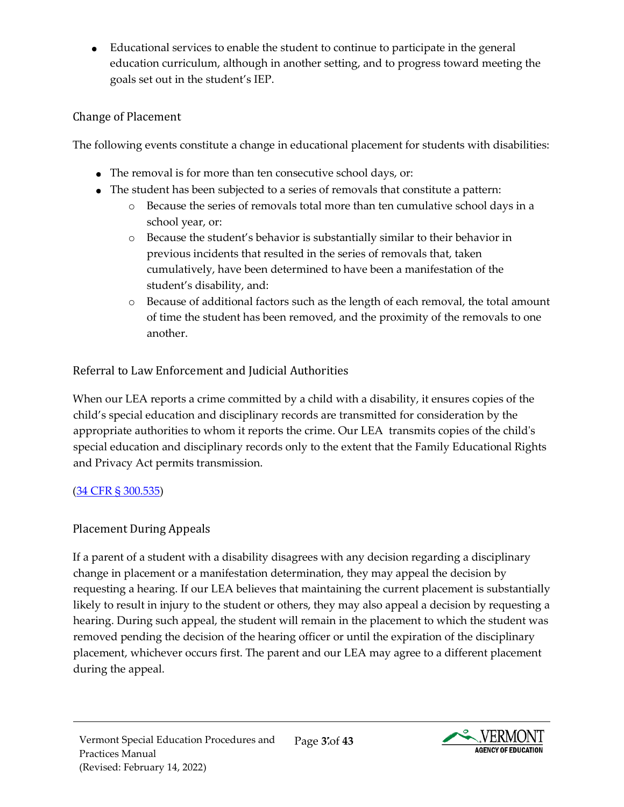Educational services to enable the student to continue to participate in the general education curriculum, although in another setting, and to progress toward meeting the goals set out in the student's IEP.

#### <span id="page-36-0"></span>Change of Placement

The following events constitute a change in educational placement for students with disabilities:

- The removal is for more than ten consecutive school days, or:
- The student has been subjected to a series of removals that constitute a pattern:
	- o Because the series of removals total more than ten cumulative school days in a school year, or:
	- o Because the student's behavior is substantially similar to their behavior in previous incidents that resulted in the series of removals that, taken cumulatively, have been determined to have been a manifestation of the student's disability, and:
	- o Because of additional factors such as the length of each removal, the total amount of time the student has been removed, and the proximity of the removals to one another.

## <span id="page-36-1"></span>Referral to Law Enforcement and Judicial Authorities

When our LEA reports a crime committed by a child with a disability, it ensures copies of the child's special education and disciplinary records are transmitted for consideration by the appropriate authorities to whom it reports the crime. Our LEA transmits copies of the child's special education and disciplinary records only to the extent that the Family Educational Rights and Privacy Act permits transmission.

## [\(34 CFR § 300.535\)](https://sites.ed.gov/idea/regs/b/e/300.535)

## <span id="page-36-2"></span>Placement During Appeals

If a parent of a student with a disability disagrees with any decision regarding a disciplinary change in placement or a manifestation determination, they may appeal the decision by requesting a hearing. If our LEA believes that maintaining the current placement is substantially likely to result in injury to the student or others, they may also appeal a decision by requesting a hearing. During such appeal, the student will remain in the placement to which the student was removed pending the decision of the hearing officer or until the expiration of the disciplinary placement, whichever occurs first. The parent and our LEA may agree to a different placement during the appeal.

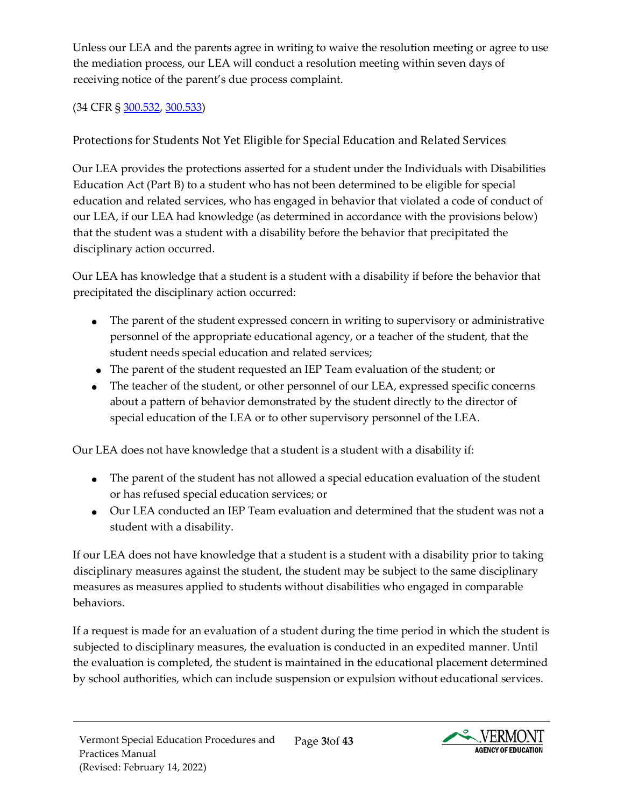Unless our LEA and the parents agree in writing to waive the resolution meeting or agree to use the mediation process, our LEA will conduct a resolution meeting within seven days of receiving notice of the parent's due process complaint.

## (34 CFR § [300.532,](https://sites.ed.gov/idea/regs/b/e/300.532) [300.533\)](https://sites.ed.gov/idea/regs/b/e/300.533)

<span id="page-37-0"></span>Protections for Students Not Yet Eligible for Special Education and Related Services

Our LEA provides the protections asserted for a student under the Individuals with Disabilities Education Act (Part B) to a student who has not been determined to be eligible for special education and related services, who has engaged in behavior that violated a code of conduct of our LEA, if our LEA had knowledge (as determined in accordance with the provisions below) that the student was a student with a disability before the behavior that precipitated the disciplinary action occurred.

Our LEA has knowledge that a student is a student with a disability if before the behavior that precipitated the disciplinary action occurred:

- The parent of the student expressed concern in writing to supervisory or administrative personnel of the appropriate educational agency, or a teacher of the student, that the student needs special education and related services;
- The parent of the student requested an IEP Team evaluation of the student; or
- The teacher of the student, or other personnel of our LEA, expressed specific concerns about a pattern of behavior demonstrated by the student directly to the director of special education of the LEA or to other supervisory personnel of the LEA.

Our LEA does not have knowledge that a student is a student with a disability if:

- The parent of the student has not allowed a special education evaluation of the student or has refused special education services; or
- Our LEA conducted an IEP Team evaluation and determined that the student was not a student with a disability.

If our LEA does not have knowledge that a student is a student with a disability prior to taking disciplinary measures against the student, the student may be subject to the same disciplinary measures as measures applied to students without disabilities who engaged in comparable behaviors.

If a request is made for an evaluation of a student during the time period in which the student is subjected to disciplinary measures, the evaluation is conducted in an expedited manner. Until the evaluation is completed, the student is maintained in the educational placement determined by school authorities, which can include suspension or expulsion without educational services.

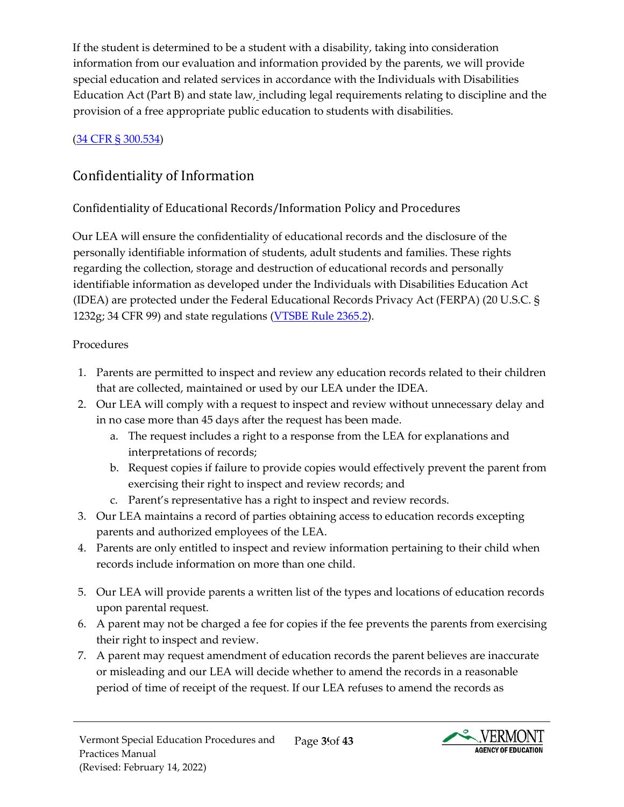If the student is determined to be a student with a disability, taking into consideration information from our evaluation and information provided by the parents, we will provide special education and related services in accordance with the Individuals with Disabilities Education Act (Part B) and state law, including legal requirements relating to discipline and the provision of a free appropriate public education to students with disabilities.

#### [\(34 CFR § 300.534\)](https://sites.ed.gov/idea/regs/b/e/300.534)

# <span id="page-38-0"></span>Confidentiality of Information

## <span id="page-38-1"></span>Confidentiality of Educational Records/Information Policy and Procedures

Our LEA will ensure the confidentiality of educational records and the disclosure of the personally identifiable information of students, adult students and families. These rights regarding the collection, storage and destruction of educational records and personally identifiable information as developed under the Individuals with Disabilities Education Act (IDEA) are protected under the Federal Educational Records Privacy Act (FERPA) (20 U.S.C. § 1232g; 34 CFR 99) and state regulations [\(VTSBE Rule 2365.2\).](https://education.vermont.gov/sites/aoe/files/documents/edu-series-2360-special-education-rules.pdf#page=135)

#### Procedures

- 1. Parents are permitted to inspect and review any education records related to their children that are collected, maintained or used by our LEA under the IDEA.
- 2. Our LEA will comply with a request to inspect and review without unnecessary delay and in no case more than 45 days after the request has been made.
	- a. The request includes a right to a response from the LEA for explanations and interpretations of records;
	- b. Request copies if failure to provide copies would effectively prevent the parent from exercising their right to inspect and review records; and
	- c. Parent's representative has a right to inspect and review records.
- 3. Our LEA maintains a record of parties obtaining access to education records excepting parents and authorized employees of the LEA.
- 4. Parents are only entitled to inspect and review information pertaining to their child when records include information on more than one child.
- 5. Our LEA will provide parents a written list of the types and locations of education records upon parental request.
- 6. A parent may not be charged a fee for copies if the fee prevents the parents from exercising their right to inspect and review.
- 7. A parent may request amendment of education records the parent believes are inaccurate or misleading and our LEA will decide whether to amend the records in a reasonable period of time of receipt of the request. If our LEA refuses to amend the records as

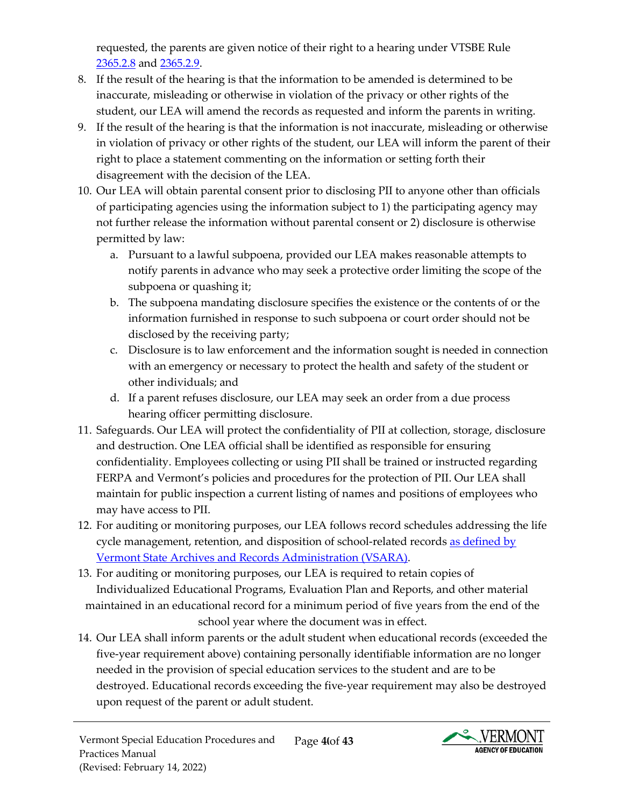requested, the parents are given notice of their right to a hearing under VTSBE [Rule](https://education.vermont.gov/sites/aoe/files/documents/edu-series-2360-special-education-rules.pdf#page=138)  [2365.2.8](https://education.vermont.gov/sites/aoe/files/documents/edu-series-2360-special-education-rules.pdf#page=138) and [2365.2.9.](https://education.vermont.gov/sites/aoe/files/documents/edu-series-2360-special-education-rules.pdf#page=138) 

- 8. If the result of the hearing is that the information to be amended is determined to be inaccurate, misleading or otherwise in violation of the privacy or other rights of the student, our LEA will amend the records as requested and inform the parents in writing.
- 9. If the result of the hearing is that the information is not inaccurate, misleading or otherwise in violation of privacy or other rights of the student, our LEA will inform the parent of their right to place a statement commenting on the information or setting forth their disagreement with the decision of the LEA.
- 10. Our LEA will obtain parental consent prior to disclosing PII to anyone other than officials of participating agencies using the information subject to 1) the participating agency may not further release the information without parental consent or 2) disclosure is otherwise permitted by law:
	- a. Pursuant to a lawful subpoena, provided our LEA makes reasonable attempts to notify parents in advance who may seek a protective order limiting the scope of the subpoena or quashing it;
	- b. The subpoena mandating disclosure specifies the existence or the contents of or the information furnished in response to such subpoena or court order should not be disclosed by the receiving party;
	- c. Disclosure is to law enforcement and the information sought is needed in connection with an emergency or necessary to protect the health and safety of the student or other individuals; and
	- d. If a parent refuses disclosure, our LEA may seek an order from a due process hearing officer permitting disclosure.
- 11. Safeguards. Our LEA will protect the confidentiality of PII at collection, storage, disclosure and destruction. One LEA official shall be identified as responsible for ensuring confidentiality. Employees collecting or using PII shall be trained or instructed regarding FERPA and Vermont's policies and procedures for the protection of PII. Our LEA shall maintain for public inspection a current listing of names and positions of employees who may have access to PII.
- 12. For auditing or monitoring purposes, our LEA follows record schedules addressing the life cycle management, retention, and disposition of school-related records [as defined by](https://sos.vermont.gov/vsara/manage/retention-disposition/agency-record-schedules) [Vermont State Archives and Records Administration \(VSARA\).](https://sos.vermont.gov/vsara/manage/retention-disposition/agency-record-schedules)
- 13. For auditing or monitoring purposes, our LEA is required to retain copies of Individualized Educational Programs, Evaluation Plan and Reports, and other material maintained in an educational record for a minimum period of five years from the end of the school year where the document was in effect.
- 14. Our LEA shall inform parents or the adult student when educational records (exceeded the five-year requirement above) containing personally identifiable information are no longer needed in the provision of special education services to the student and are to be destroyed. Educational records exceeding the five-year requirement may also be destroyed upon request of the parent or adult student.

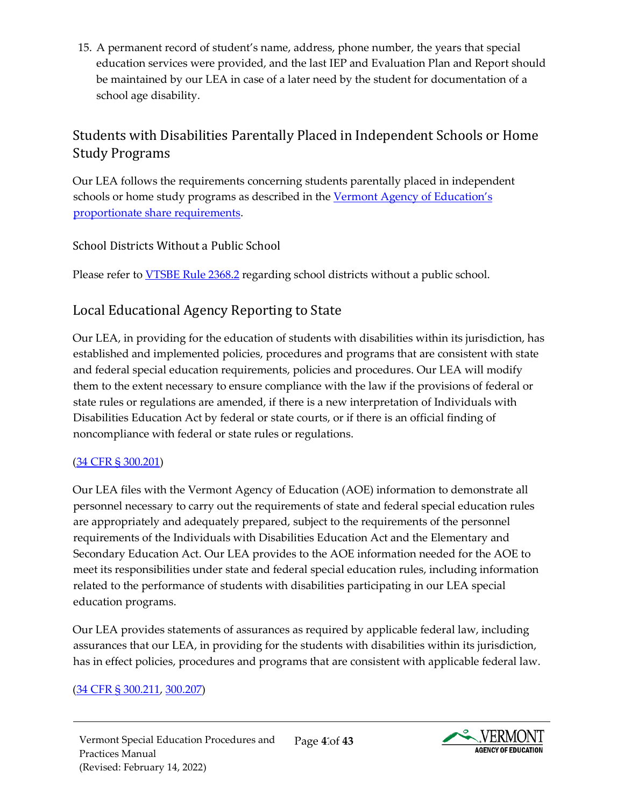15. A permanent record of student's name, address, phone number, the years that special education services were provided, and the last IEP and Evaluation Plan and Report should be maintained by our LEA in case of a later need by the student for documentation of a school age disability.

# <span id="page-40-0"></span>Students with Disabilities Parentally Placed in Independent Schools or Home Study Programs

Our LEA follows the requirements concerning students parentally placed in independent schools or home study programs as described in the [Vermont Agency of Education's](https://education.vermont.gov/sites/aoe/files/documents/edu-proportionate-share-requirements-2021_0.pdf) [proportionate share requirements.](https://education.vermont.gov/sites/aoe/files/documents/edu-proportionate-share-requirements-2021_0.pdf) 

## <span id="page-40-1"></span>School Districts Without a Public School

Please refer to **VTSBE Rule 2368.2** regarding school districts without a public school.

# <span id="page-40-2"></span>Local Educational Agency Reporting to State

Our LEA, in providing for the education of students with disabilities within its jurisdiction, has established and implemented policies, procedures and programs that are consistent with state and federal special education requirements, policies and procedures. Our LEA will modify them to the extent necessary to ensure compliance with the law if the provisions of federal or state rules or regulations are amended, if there is a new interpretation of Individuals with Disabilities Education Act by federal or state courts, or if there is an official finding of noncompliance with federal or state rules or regulations.

## [\(34 CFR § 300.201\)](https://sites.ed.gov/idea/regs/b/c/300.201)

Our LEA files with the Vermont Agency of Education (AOE) information to demonstrate all personnel necessary to carry out the requirements of state and federal special education rules are appropriately and adequately prepared, subject to the requirements of the personnel requirements of the Individuals with Disabilities Education Act and the Elementary and Secondary Education Act. Our LEA provides to the AOE information needed for the AOE to meet its responsibilities under state and federal special education rules, including information related to the performance of students with disabilities participating in our LEA special education programs.

Our LEA provides statements of assurances as required by applicable federal law, including assurances that our LEA, in providing for the students with disabilities within its jurisdiction, has in effect policies, procedures and programs that are consistent with applicable federal law.

[\(34 CFR § 300.211,](https://sites.ed.gov/idea/regs/b/c/300.211) [300.207\)](https://sites.ed.gov/idea/regs/b/c/300.207) 

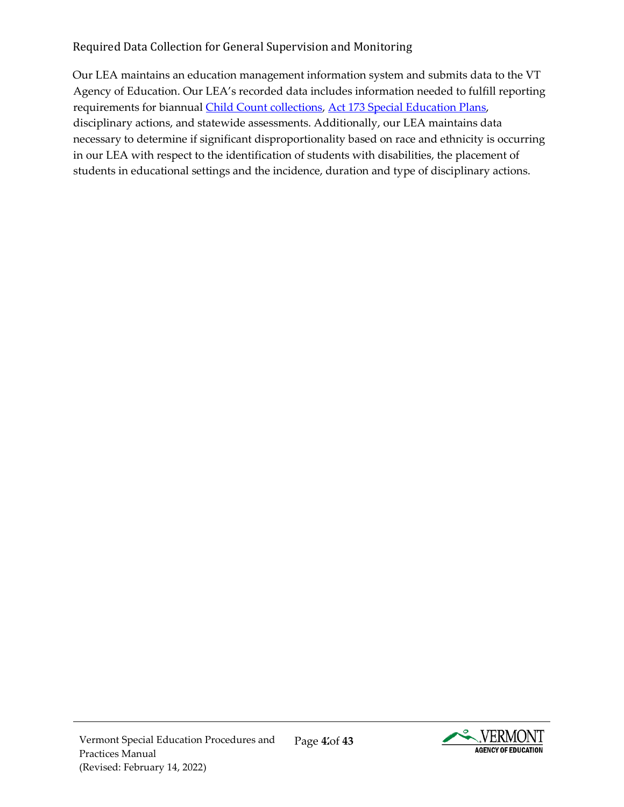## <span id="page-41-0"></span>Required Data Collection for General Supervision and Monitoring

Our LEA maintains an education management information system and submits data to the VT Agency of Education. Our LEA's recorded data includes information needed to fulfill reporting requirements for biannual [Child Count collections,](https://education.vermont.gov/calendar/child-count) [Act 173 Special Education Plans,](https://education.vermont.gov/student-support/vermont-special-education/funding) disciplinary actions, and statewide assessments. Additionally, our LEA maintains data necessary to determine if significant disproportionality based on race and ethnicity is occurring in our LEA with respect to the identification of students with disabilities, the placement of students in educational settings and the incidence, duration and type of disciplinary actions.